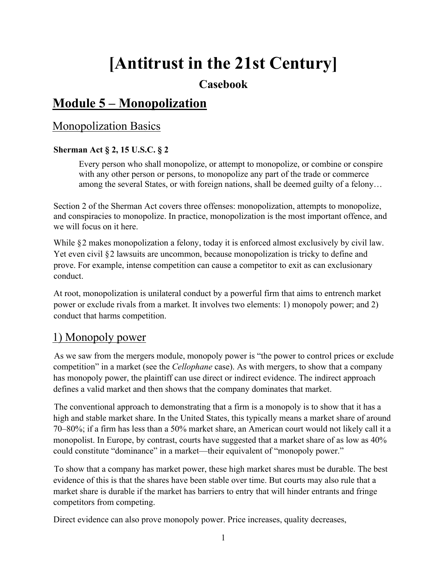# **[Antitrust in the 21st Century]**

# **Casebook**

# **Module 5 – Monopolization**

# Monopolization Basics

# **Sherman Act § 2, 15 U.S.C. § 2**

Every person who shall monopolize, or attempt to monopolize, or combine or conspire with any other person or persons, to monopolize any part of the trade or commerce among the several States, or with foreign nations, shall be deemed guilty of a felony…

Section 2 of the Sherman Act covers three offenses: monopolization, attempts to monopolize, and conspiracies to monopolize. In practice, monopolization is the most important offence, and we will focus on it here.

While §2 makes monopolization a felony, today it is enforced almost exclusively by civil law. Yet even civil §2 lawsuits are uncommon, because monopolization is tricky to define and prove. For example, intense competition can cause a competitor to exit as can exclusionary conduct.

At root, monopolization is unilateral conduct by a powerful firm that aims to entrench market power or exclude rivals from a market. It involves two elements: 1) monopoly power; and 2) conduct that harms competition.

# 1) Monopoly power

As we saw from the mergers module, monopoly power is "the power to control prices or exclude competition" in a market (see the *Cellophane* case). As with mergers, to show that a company has monopoly power, the plaintiff can use direct or indirect evidence. The indirect approach defines a valid market and then shows that the company dominates that market.

The conventional approach to demonstrating that a firm is a monopoly is to show that it has a high and stable market share. In the United States, this typically means a market share of around 70–80%; if a firm has less than a 50% market share, an American court would not likely call it a monopolist. In Europe, by contrast, courts have suggested that a market share of as low as 40% could constitute "dominance" in a market—their equivalent of "monopoly power."

To show that a company has market power, these high market shares must be durable. The best evidence of this is that the shares have been stable over time. But courts may also rule that a market share is durable if the market has barriers to entry that will hinder entrants and fringe competitors from competing.

Direct evidence can also prove monopoly power. Price increases, quality decreases,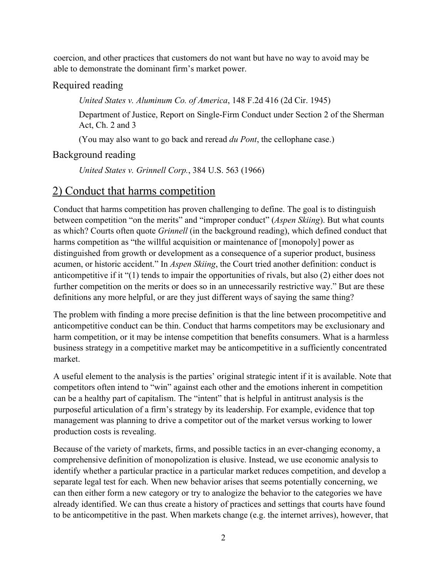coercion, and other practices that customers do not want but have no way to avoid may be able to demonstrate the dominant firm's market power.

# Required reading

*United States v. Aluminum Co. of America*, 148 F.2d 416 (2d Cir. 1945)

Department of Justice, Report on Single-Firm Conduct under Section 2 of the Sherman Act, Ch. 2 and 3

(You may also want to go back and reread *du Pont*, the cellophane case.)

# Background reading

*United States v. Grinnell Corp.*, 384 U.S. 563 (1966)

# 2) Conduct that harms competition

Conduct that harms competition has proven challenging to define. The goal is to distinguish between competition "on the merits" and "improper conduct" (*Aspen Skiing*). But what counts as which? Courts often quote *Grinnell* (in the background reading), which defined conduct that harms competition as "the willful acquisition or maintenance of [monopoly] power as distinguished from growth or development as a consequence of a superior product, business acumen, or historic accident." In *Aspen Skiing*, the Court tried another definition: conduct is anticompetitive if it "(1) tends to impair the opportunities of rivals, but also (2) either does not further competition on the merits or does so in an unnecessarily restrictive way." But are these definitions any more helpful, or are they just different ways of saying the same thing?

The problem with finding a more precise definition is that the line between procompetitive and anticompetitive conduct can be thin. Conduct that harms competitors may be exclusionary and harm competition, or it may be intense competition that benefits consumers. What is a harmless business strategy in a competitive market may be anticompetitive in a sufficiently concentrated market.

A useful element to the analysis is the parties' original strategic intent if it is available. Note that competitors often intend to "win" against each other and the emotions inherent in competition can be a healthy part of capitalism. The "intent" that is helpful in antitrust analysis is the purposeful articulation of a firm's strategy by its leadership. For example, evidence that top management was planning to drive a competitor out of the market versus working to lower production costs is revealing.

Because of the variety of markets, firms, and possible tactics in an ever-changing economy, a comprehensive definition of monopolization is elusive. Instead, we use economic analysis to identify whether a particular practice in a particular market reduces competition, and develop a separate legal test for each. When new behavior arises that seems potentially concerning, we can then either form a new category or try to analogize the behavior to the categories we have already identified. We can thus create a history of practices and settings that courts have found to be anticompetitive in the past. When markets change (e.g. the internet arrives), however, that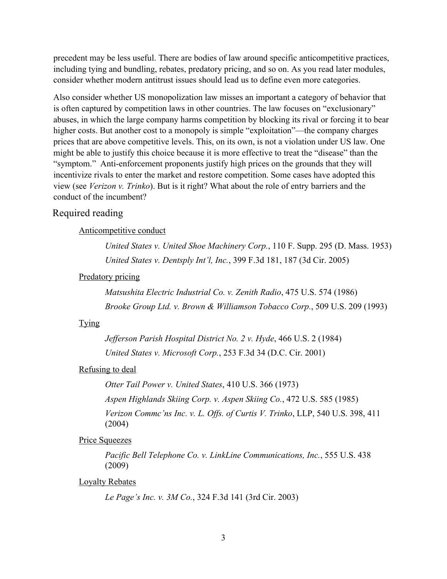precedent may be less useful. There are bodies of law around specific anticompetitive practices, including tying and bundling, rebates, predatory pricing, and so on. As you read later modules, consider whether modern antitrust issues should lead us to define even more categories.

Also consider whether US monopolization law misses an important a category of behavior that is often captured by competition laws in other countries. The law focuses on "exclusionary" abuses, in which the large company harms competition by blocking its rival or forcing it to bear higher costs. But another cost to a monopoly is simple "exploitation"—the company charges prices that are above competitive levels. This, on its own, is not a violation under US law. One might be able to justify this choice because it is more effective to treat the "disease" than the "symptom." Anti-enforcement proponents justify high prices on the grounds that they will incentivize rivals to enter the market and restore competition. Some cases have adopted this view (see *Verizon v. Trinko*). But is it right? What about the role of entry barriers and the conduct of the incumbent?

## Required reading

#### Anticompetitive conduct

*United States v. United Shoe Machinery Corp.*, 110 F. Supp. 295 (D. Mass. 1953) *United States v. Dentsply Int'l, Inc.*, 399 F.3d 181, 187 (3d Cir. 2005)

#### Predatory pricing

*Matsushita Electric Industrial Co. v. Zenith Radio*, 475 U.S. 574 (1986) *Brooke Group Ltd. v. Brown & Williamson Tobacco Corp.*, 509 U.S. 209 (1993)

## Tying

*Jefferson Parish Hospital District No. 2 v. Hyde*, 466 U.S. 2 (1984) *United States v. Microsoft Corp.*, 253 F.3d 34 (D.C. Cir. 2001)

## Refusing to deal

*Otter Tail Power v. United States*, 410 U.S. 366 (1973) *Aspen Highlands Skiing Corp. v. Aspen Skiing Co.*, 472 U.S. 585 (1985) *Verizon Commc'ns Inc. v. L. Offs. of Curtis V. Trinko*, LLP, 540 U.S. 398, 411 (2004)

#### Price Squeezes

*Pacific Bell Telephone Co. v. LinkLine Communications, Inc.*, 555 U.S. 438 (2009)

### Loyalty Rebates

*Le Page's Inc. v. 3M Co.*, 324 F.3d 141 (3rd Cir. 2003)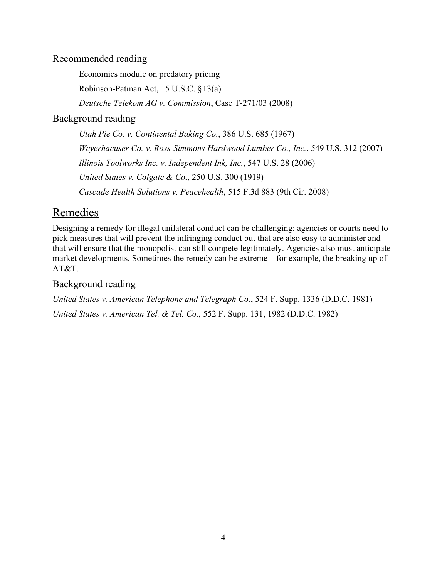# Recommended reading

Economics module on predatory pricing

Robinson-Patman Act, 15 U.S.C. §13(a)

*Deutsche Telekom AG v. Commission*, Case T-271/03 (2008)

# Background reading

*Utah Pie Co. v. Continental Baking Co.*, 386 U.S. 685 (1967) *Weyerhaeuser Co. v. Ross-Simmons Hardwood Lumber Co., Inc.*, 549 U.S. 312 (2007) *Illinois Toolworks Inc. v. Independent Ink, Inc.*, 547 U.S. 28 (2006) *United States v. Colgate & Co.*, 250 U.S. 300 (1919) *Cascade Health Solutions v. Peacehealth*, 515 F.3d 883 (9th Cir. 2008)

# Remedies

Designing a remedy for illegal unilateral conduct can be challenging: agencies or courts need to pick measures that will prevent the infringing conduct but that are also easy to administer and that will ensure that the monopolist can still compete legitimately. Agencies also must anticipate market developments. Sometimes the remedy can be extreme—for example, the breaking up of AT&T.

# Background reading

*United States v. American Telephone and Telegraph Co.*, 524 F. Supp. 1336 (D.D.C. 1981) *United States v. American Tel. & Tel. Co.*, 552 F. Supp. 131, 1982 (D.D.C. 1982)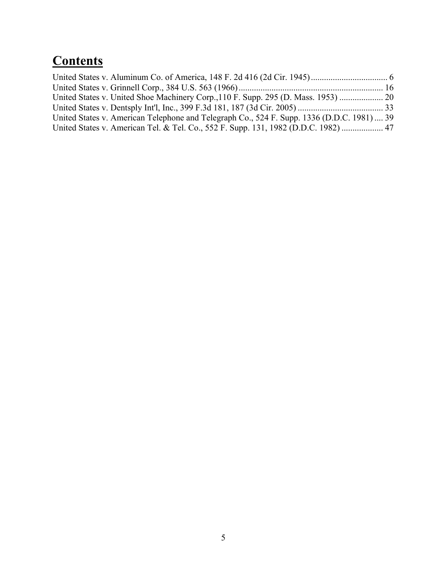# **Contents**

| United States v. United Shoe Machinery Corp., 110 F. Supp. 295 (D. Mass. 1953)  20         |  |
|--------------------------------------------------------------------------------------------|--|
|                                                                                            |  |
| United States v. American Telephone and Telegraph Co., 524 F. Supp. 1336 (D.D.C. 1981)  39 |  |
| United States v. American Tel. & Tel. Co., 552 F. Supp. 131, 1982 (D.D.C. 1982)  47        |  |
|                                                                                            |  |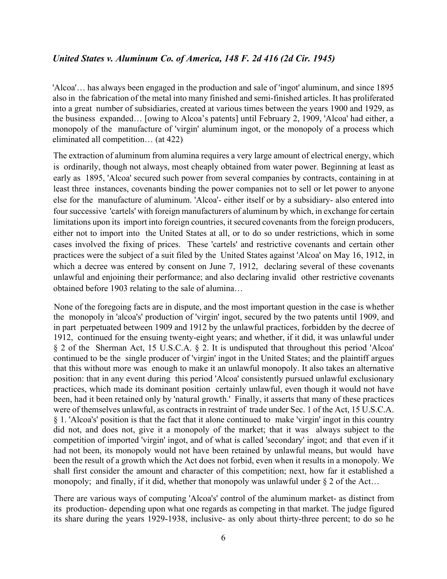## *United States v. Aluminum Co. of America, 148 F. 2d 416 (2d Cir. 1945)*

'Alcoa'… has always been engaged in the production and sale of 'ingot' aluminum, and since 1895 also in the fabrication of the metal into many finished and semi-finished articles. It has proliferated into a great number of subsidiaries, created at various times between the years 1900 and 1929, as the business expanded… [owing to Alcoa's patents] until February 2, 1909, 'Alcoa' had either, a monopoly of the manufacture of 'virgin' aluminum ingot, or the monopoly of a process which eliminated all competition… (at 422)

The extraction of aluminum from alumina requires a very large amount of electrical energy, which is ordinarily, though not always, most cheaply obtained from water power. Beginning at least as early as 1895, 'Alcoa' secured such power from several companies by contracts, containing in at least three instances, covenants binding the power companies not to sell or let power to anyone else for the manufacture of aluminum. 'Alcoa'- either itself or by a subsidiary- also entered into four successive 'cartels' with foreign manufacturers of aluminum by which, in exchange for certain limitations upon its import into foreign countries, it secured covenants from the foreign producers, either not to import into the United States at all, or to do so under restrictions, which in some cases involved the fixing of prices. These 'cartels' and restrictive covenants and certain other practices were the subject of a suit filed by the United States against 'Alcoa' on May 16, 1912, in which a decree was entered by consent on June 7, 1912, declaring several of these covenants unlawful and enjoining their performance; and also declaring invalid other restrictive covenants obtained before 1903 relating to the sale of alumina…

None of the foregoing facts are in dispute, and the most important question in the case is whether the monopoly in 'alcoa's' production of 'virgin' ingot, secured by the two patents until 1909, and in part perpetuated between 1909 and 1912 by the unlawful practices, forbidden by the decree of 1912, continued for the ensuing twenty-eight years; and whether, if it did, it was unlawful under § 2 of the Sherman Act, 15 U.S.C.A. § 2. It is undisputed that throughout this period 'Alcoa' continued to be the single producer of 'virgin' ingot in the United States; and the plaintiff argues that this without more was enough to make it an unlawful monopoly. It also takes an alternative position: that in any event during this period 'Alcoa' consistently pursued unlawful exclusionary practices, which made its dominant position certainly unlawful, even though it would not have been, had it been retained only by 'natural growth.' Finally, it asserts that many of these practices were of themselves unlawful, as contracts in restraint of trade under Sec. 1 of the Act, 15 U.S.C.A. § 1. 'Alcoa's' position is that the fact that it alone continued to make 'virgin' ingot in this country did not, and does not, give it a monopoly of the market; that it was always subject to the competition of imported 'virgin' ingot, and of what is called 'secondary' ingot; and that even if it had not been, its monopoly would not have been retained by unlawful means, but would have been the result of a growth which the Act does not forbid, even when it results in a monopoly. We shall first consider the amount and character of this competition; next, how far it established a monopoly; and finally, if it did, whether that monopoly was unlawful under § 2 of the Act...

There are various ways of computing 'Alcoa's' control of the aluminum market- as distinct from its production- depending upon what one regards as competing in that market. The judge figured its share during the years 1929-1938, inclusive- as only about thirty-three percent; to do so he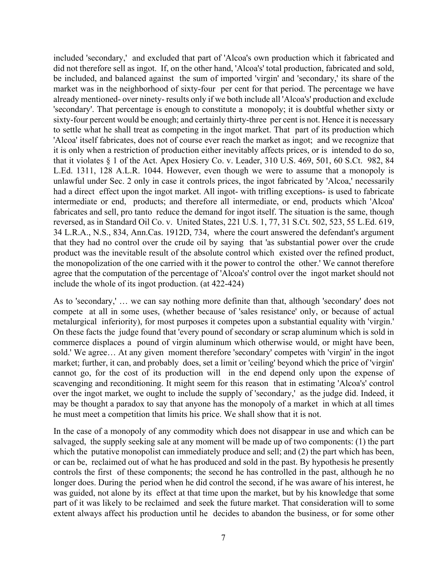included 'secondary,' and excluded that part of 'Alcoa's own production which it fabricated and did not therefore sell as ingot. If, on the other hand, 'Alcoa's' total production, fabricated and sold, be included, and balanced against the sum of imported 'virgin' and 'secondary,' its share of the market was in the neighborhood of sixty-four per cent for that period. The percentage we have already mentioned- over ninety- results only if we both include all 'Alcoa's' production and exclude 'secondary'. That percentage is enough to constitute a monopoly; it is doubtful whether sixty or sixty-four percent would be enough; and certainly thirty-three per cent is not. Hence it is necessary to settle what he shall treat as competing in the ingot market. That part of its production which 'Alcoa' itself fabricates, does not of course ever reach the market as ingot; and we recognize that it is only when a restriction of production either inevitably affects prices, or is intended to do so, that it violates § 1 of the Act. Apex Hosiery Co. v. Leader, 310 U.S. 469, 501, 60 S.Ct. 982, 84 L.Ed. 1311, 128 A.L.R. 1044. However, even though we were to assume that a monopoly is unlawful under Sec. 2 only in case it controls prices, the ingot fabricated by 'Alcoa,' necessarily had a direct effect upon the ingot market. All ingot- with trifling exceptions- is used to fabricate intermediate or end, products; and therefore all intermediate, or end, products which 'Alcoa' fabricates and sell, pro tanto reduce the demand for ingot itself. The situation is the same, though reversed, as in Standard Oil Co. v. United States, 221 U.S. 1, 77, 31 S.Ct. 502, 523, 55 L.Ed. 619, 34 L.R.A., N.S., 834, Ann.Cas. 1912D, 734, where the court answered the defendant's argument that they had no control over the crude oil by saying that 'as substantial power over the crude product was the inevitable result of the absolute control which existed over the refined product, the monopolization of the one carried with it the power to control the other.' We cannot therefore agree that the computation of the percentage of 'Alcoa's' control over the ingot market should not include the whole of its ingot production. (at 422-424)

As to 'secondary,' … we can say nothing more definite than that, although 'secondary' does not compete at all in some uses, (whether because of 'sales resistance' only, or because of actual metalurgical inferiority), for most purposes it competes upon a substantial equality with 'virgin.' On these facts the judge found that 'every pound of secondary or scrap aluminum which is sold in commerce displaces a pound of virgin aluminum which otherwise would, or might have been, sold.' We agree… At any given moment therefore 'secondary' competes with 'virgin' in the ingot market; further, it can, and probably does, set a limit or 'ceiling' beyond which the price of 'virgin' cannot go, for the cost of its production will in the end depend only upon the expense of scavenging and reconditioning. It might seem for this reason that in estimating 'Alcoa's' control over the ingot market, we ought to include the supply of 'secondary,' as the judge did. Indeed, it may be thought a paradox to say that anyone has the monopoly of a market in which at all times he must meet a competition that limits his price. We shall show that it is not.

In the case of a monopoly of any commodity which does not disappear in use and which can be salvaged, the supply seeking sale at any moment will be made up of two components: (1) the part which the putative monopolist can immediately produce and sell; and (2) the part which has been, or can be, reclaimed out of what he has produced and sold in the past. By hypothesis he presently controls the first of these components; the second he has controlled in the past, although he no longer does. During the period when he did control the second, if he was aware of his interest, he was guided, not alone by its effect at that time upon the market, but by his knowledge that some part of it was likely to be reclaimed and seek the future market. That consideration will to some extent always affect his production until he decides to abandon the business, or for some other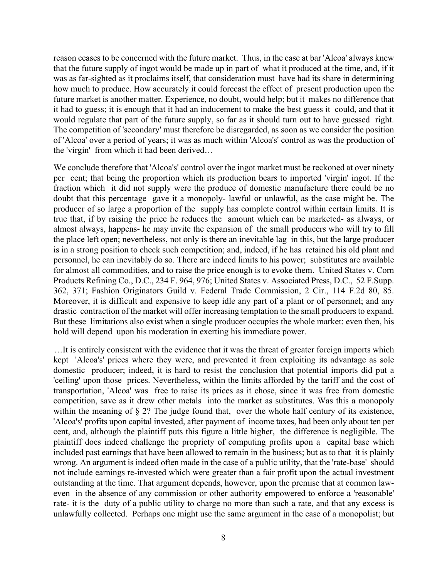reason ceases to be concerned with the future market. Thus, in the case at bar 'Alcoa' always knew that the future supply of ingot would be made up in part of what it produced at the time, and, if it was as far-sighted as it proclaims itself, that consideration must have had its share in determining how much to produce. How accurately it could forecast the effect of present production upon the future market is another matter. Experience, no doubt, would help; but it makes no difference that it had to guess; it is enough that it had an inducement to make the best guess it could, and that it would regulate that part of the future supply, so far as it should turn out to have guessed right. The competition of 'secondary' must therefore be disregarded, as soon as we consider the position of 'Alcoa' over a period of years; it was as much within 'Alcoa's' control as was the production of the 'virgin' from which it had been derived…

We conclude therefore that 'Alcoa's' control over the ingot market must be reckoned at over ninety per cent; that being the proportion which its production bears to imported 'virgin' ingot. If the fraction which it did not supply were the produce of domestic manufacture there could be no doubt that this percentage gave it a monopoly- lawful or unlawful, as the case might be. The producer of so large a proportion of the supply has complete control within certain limits. It is true that, if by raising the price he reduces the amount which can be marketed- as always, or almost always, happens- he may invite the expansion of the small producers who will try to fill the place left open; nevertheless, not only is there an inevitable lag in this, but the large producer is in a strong position to check such competition; and, indeed, if he has retained his old plant and personnel, he can inevitably do so. There are indeed limits to his power; substitutes are available for almost all commodities, and to raise the price enough is to evoke them. United States v. Corn Products Refining Co., D.C., 234 F. 964, 976; United States v. Associated Press, D.C., 52 F.Supp. 362, 371; Fashion Originators Guild v. Federal Trade Commission, 2 Cir., 114 F.2d 80, 85. Moreover, it is difficult and expensive to keep idle any part of a plant or of personnel; and any drastic contraction of the market will offer increasing temptation to the small producers to expand. But these limitations also exist when a single producer occupies the whole market: even then, his hold will depend upon his moderation in exerting his immediate power.

…It is entirely consistent with the evidence that it was the threat of greater foreign imports which kept 'Alcoa's' prices where they were, and prevented it from exploiting its advantage as sole domestic producer; indeed, it is hard to resist the conclusion that potential imports did put a 'ceiling' upon those prices. Nevertheless, within the limits afforded by the tariff and the cost of transportation, 'Alcoa' was free to raise its prices as it chose, since it was free from domestic competition, save as it drew other metals into the market as substitutes. Was this a monopoly within the meaning of  $\S 2$ ? The judge found that, over the whole half century of its existence, 'Alcoa's' profits upon capital invested, after payment of income taxes, had been only about ten per cent, and, although the plaintiff puts this figure a little higher, the difference is negligible. The plaintiff does indeed challenge the propriety of computing profits upon a capital base which included past earnings that have been allowed to remain in the business; but as to that it is plainly wrong. An argument is indeed often made in the case of a public utility, that the 'rate-base' should not include earnings re-invested which were greater than a fair profit upon the actual investment outstanding at the time. That argument depends, however, upon the premise that at common laweven in the absence of any commission or other authority empowered to enforce a 'reasonable' rate- it is the duty of a public utility to charge no more than such a rate, and that any excess is unlawfully collected. Perhaps one might use the same argument in the case of a monopolist; but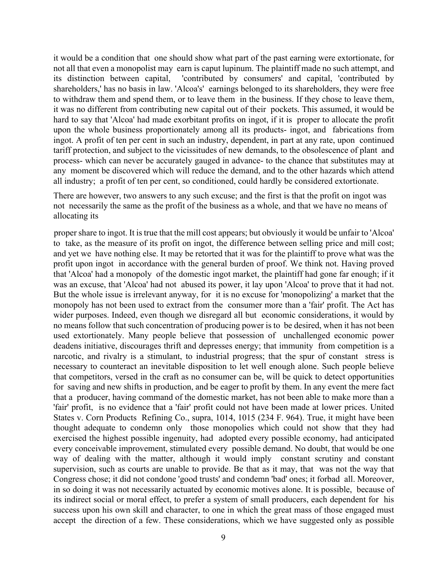it would be a condition that one should show what part of the past earning were extortionate, for not all that even a monopolist may earn is caput lupinum. The plaintiff made no such attempt, and its distinction between capital, 'contributed by consumers' and capital, 'contributed by shareholders,' has no basis in law. 'Alcoa's' earnings belonged to its shareholders, they were free to withdraw them and spend them, or to leave them in the business. If they chose to leave them, it was no different from contributing new capital out of their pockets. This assumed, it would be hard to say that 'Alcoa' had made exorbitant profits on ingot, if it is proper to allocate the profit upon the whole business proportionately among all its products- ingot, and fabrications from ingot. A profit of ten per cent in such an industry, dependent, in part at any rate, upon continued tariff protection, and subject to the vicissitudes of new demands, to the obsolescence of plant and process- which can never be accurately gauged in advance- to the chance that substitutes may at any moment be discovered which will reduce the demand, and to the other hazards which attend all industry; a profit of ten per cent, so conditioned, could hardly be considered extortionate.

There are however, two answers to any such excuse; and the first is that the profit on ingot was not necessarily the same as the profit of the business as a whole, and that we have no means of allocating its

proper share to ingot. It is true that the mill cost appears; but obviously it would be unfair to 'Alcoa' to take, as the measure of its profit on ingot, the difference between selling price and mill cost; and yet we have nothing else. It may be retorted that it was for the plaintiff to prove what was the profit upon ingot in accordance with the general burden of proof. We think not. Having proved that 'Alcoa' had a monopoly of the domestic ingot market, the plaintiff had gone far enough; if it was an excuse, that 'Alcoa' had not abused its power, it lay upon 'Alcoa' to prove that it had not. But the whole issue is irrelevant anyway, for it is no excuse for 'monopolizing' a market that the monopoly has not been used to extract from the consumer more than a 'fair' profit. The Act has wider purposes. Indeed, even though we disregard all but economic considerations, it would by no means follow that such concentration of producing power is to be desired, when it has not been used extortionately. Many people believe that possession of unchallenged economic power deadens initiative, discourages thrift and depresses energy; that immunity from competition is a narcotic, and rivalry is a stimulant, to industrial progress; that the spur of constant stress is necessary to counteract an inevitable disposition to let well enough alone. Such people believe that competitors, versed in the craft as no consumer can be, will be quick to detect opportunities for saving and new shifts in production, and be eager to profit by them. In any event the mere fact that a producer, having command of the domestic market, has not been able to make more than a 'fair' profit, is no evidence that a 'fair' profit could not have been made at lower prices. United States v. Corn Products Refining Co., supra, 1014, 1015 (234 F. 964). True, it might have been thought adequate to condemn only those monopolies which could not show that they had exercised the highest possible ingenuity, had adopted every possible economy, had anticipated every conceivable improvement, stimulated every possible demand. No doubt, that would be one way of dealing with the matter, although it would imply constant scrutiny and constant supervision, such as courts are unable to provide. Be that as it may, that was not the way that Congress chose; it did not condone 'good trusts' and condemn 'bad' ones; it forbad all. Moreover, in so doing it was not necessarily actuated by economic motives alone. It is possible, because of its indirect social or moral effect, to prefer a system of small producers, each dependent for his success upon his own skill and character, to one in which the great mass of those engaged must accept the direction of a few. These considerations, which we have suggested only as possible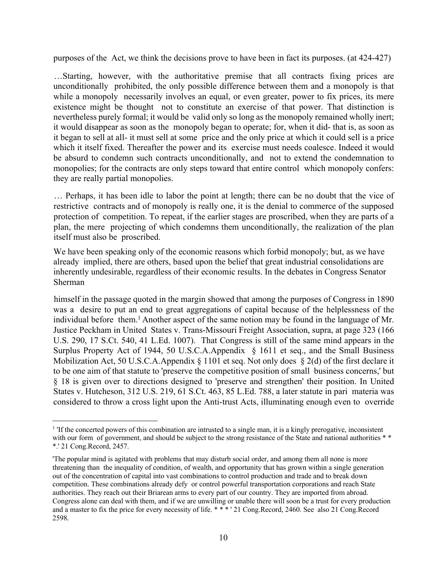purposes of the Act, we think the decisions prove to have been in fact its purposes. (at 424-427)

…Starting, however, with the authoritative premise that all contracts fixing prices are unconditionally prohibited, the only possible difference between them and a monopoly is that while a monopoly necessarily involves an equal, or even greater, power to fix prices, its mere existence might be thought not to constitute an exercise of that power. That distinction is nevertheless purely formal; it would be valid only so long as the monopoly remained wholly inert; it would disappear as soon as the monopoly began to operate; for, when it did- that is, as soon as it began to sell at all- it must sell at some price and the only price at which it could sell is a price which it itself fixed. Thereafter the power and its exercise must needs coalesce. Indeed it would be absurd to condemn such contracts unconditionally, and not to extend the condemnation to monopolies; for the contracts are only steps toward that entire control which monopoly confers: they are really partial monopolies.

… Perhaps, it has been idle to labor the point at length; there can be no doubt that the vice of restrictive contracts and of monopoly is really one, it is the denial to commerce of the supposed protection of competition. To repeat, if the earlier stages are proscribed, when they are parts of a plan, the mere projecting of which condemns them unconditionally, the realization of the plan itself must also be proscribed.

We have been speaking only of the economic reasons which forbid monopoly; but, as we have already implied, there are others, based upon the belief that great industrial consolidations are inherently undesirable, regardless of their economic results. In the debates in Congress Senator Sherman

himself in the passage quoted in the margin showed that among the purposes of Congress in 1890 was a desire to put an end to great aggregations of capital because of the helplessness of the individual before them.<sup>1</sup> Another aspect of the same notion may be found in the language of Mr. Justice Peckham in United States v. Trans-Missouri Freight Association, supra, at page 323 (166 U.S. 290, 17 S.Ct. 540, 41 L.Ed. 1007). That Congress is still of the same mind appears in the Surplus Property Act of 1944, 50 U.S.C.A.Appendix § 1611 et seq., and the Small Business Mobilization Act, 50 U.S.C.A.Appendix § 1101 et seq. Not only does § 2(d) of the first declare it to be one aim of that statute to 'preserve the competitive position of small business concerns,' but § 18 is given over to directions designed to 'preserve and strengthen' their position. In United States v. Hutcheson, 312 U.S. 219, 61 S.Ct. 463, 85 L.Ed. 788, a later statute in pari materia was considered to throw a cross light upon the Anti-trust Acts, illuminating enough even to override

<sup>&</sup>lt;sup>1</sup> If the concerted powers of this combination are intrusted to a single man, it is a kingly prerogative, inconsistent with our form of government, and should be subject to the strong resistance of the State and national authorities \* \* \*.' 21 Cong.Record, 2457.

<sup>&#</sup>x27;The popular mind is agitated with problems that may disturb social order, and among them all none is more threatening than the inequality of condition, of wealth, and opportunity that has grown within a single generation out of the concentration of capital into vast combinations to control production and trade and to break down competition. These combinations already defy or control powerful transportation corporations and reach State authorities. They reach out their Briarean arms to every part of our country. They are imported from abroad. Congress alone can deal with them, and if we are unwilling or unable there will soon be a trust for every production and a master to fix the price for every necessity of life. \* \* \* ' 21 Cong.Record, 2460. See also 21 Cong.Record 2598.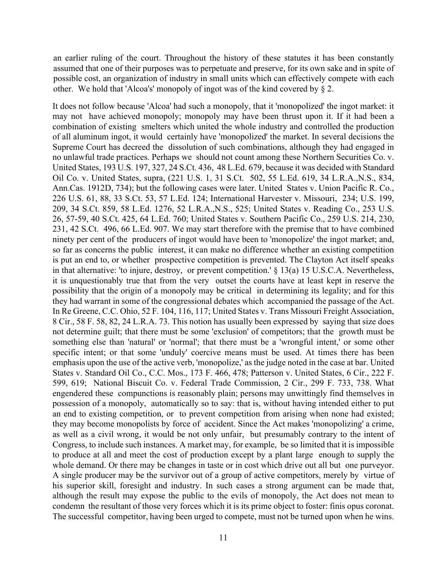an earlier ruling of the court. Throughout the history of these statutes it has been constantly assumed that one of their purposes was to perpetuate and preserve, for its own sake and in spite of possible cost, an organization of industry in small units which can effectively compete with each other. We hold that 'Alcoa's' monopoly of ingot was of the kind covered by § 2.

It does not follow because 'Alcoa' had such a monopoly, that it 'monopolized' the ingot market: it may not have achieved monopoly; monopoly may have been thrust upon it. If it had been a combination of existing smelters which united the whole industry and controlled the production of all aluminum ingot, it would certainly have 'monopolized' the market. In several decisions the Supreme Court has decreed the dissolution of such combinations, although they had engaged in no unlawful trade practices. Perhaps we should not count among these Northern Securities Co. v. United States, 193 U.S. 197, 327, 24 S.Ct. 436, 48 L.Ed. 679, because it was decided with Standard Oil Co. v. United States, supra, (221 U.S. 1, 31 S.Ct. 502, 55 L.Ed. 619, 34 L.R.A.,N.S., 834, Ann.Cas. 1912D, 734); but the following cases were later. United States v. Union Pacific R. Co., 226 U.S. 61, 88, 33 S.Ct. 53, 57 L.Ed. 124; International Harvester v. Missouri, 234; U.S. 199, 209, 34 S.Ct. 859, 58 L.Ed. 1276, 52 L.R.A.,N.S., 525; United States v. Reading Co., 253 U.S. 26, 57-59, 40 S.Ct. 425, 64 L.Ed. 760; United States v. Southern Pacific Co., 259 U.S. 214, 230, 231, 42 S.Ct. 496, 66 L.Ed. 907. We may start therefore with the premise that to have combined ninety per cent of the producers of ingot would have been to 'monopolize' the ingot market; and, so far as concerns the public interest, it can make no difference whether an existing competition is put an end to, or whether prospective competition is prevented. The Clayton Act itself speaks in that alternative: 'to injure, destroy, or prevent competition.' § 13(a) 15 U.S.C.A. Nevertheless, it is unquestionably true that from the very outset the courts have at least kept in reserve the possibility that the origin of a monopoly may be critical in determining its legality; and for this they had warrant in some of the congressional debates which accompanied the passage of the Act. In Re Greene, C.C. Ohio, 52 F. 104, 116, 117; United States v. Trans Missouri Freight Association, 8 Cir., 58 F. 58, 82, 24 L.R.A. 73. This notion has usually been expressed by saying that size does not determine guilt; that there must be some 'exclusion' of competitors; that the growth must be something else than 'natural' or 'normal'; that there must be a 'wrongful intent,' or some other specific intent; or that some 'unduly' coercive means must be used. At times there has been emphasis upon the use of the active verb, 'monopolize,' as the judge noted in the case at bar. United States v. Standard Oil Co., C.C. Mos., 173 F. 466, 478; Patterson v. United States, 6 Cir., 222 F. 599, 619; National Biscuit Co. v. Federal Trade Commission, 2 Cir., 299 F. 733, 738. What engendered these compunctions is reasonably plain; persons may unwittingly find themselves in possession of a monopoly, automatically so to say: that is, without having intended either to put an end to existing competition, or to prevent competition from arising when none had existed; they may become monopolists by force of accident. Since the Act makes 'monopolizing' a crime, as well as a civil wrong, it would be not only unfair, but presumably contrary to the intent of Congress, to include such instances. A market may, for example, be so limited that it is impossible to produce at all and meet the cost of production except by a plant large enough to supply the whole demand. Or there may be changes in taste or in cost which drive out all but one purveyor. A single producer may be the survivor out of a group of active competitors, merely by virtue of his superior skill, foresight and industry. In such cases a strong argument can be made that, although the result may expose the public to the evils of monopoly, the Act does not mean to condemn the resultant of those very forces which it is its prime object to foster: finis opus coronat. The successful competitor, having been urged to compete, must not be turned upon when he wins.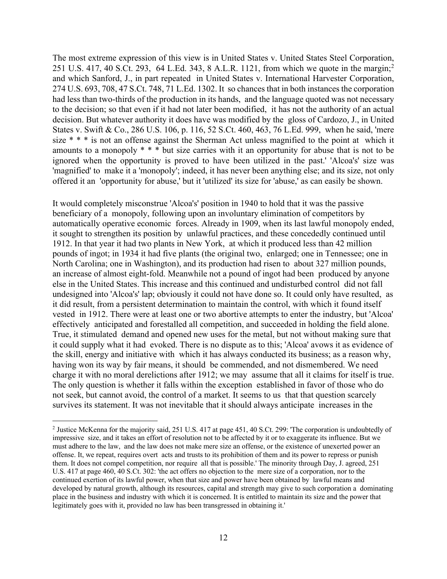The most extreme expression of this view is in United States v. United States Steel Corporation, 251 U.S. 417, 40 S.Ct. 293, 64 L.Ed. 343, 8 A.L.R. 1121, from which we quote in the margin;2 and which Sanford, J., in part repeated in United States v. International Harvester Corporation, 274 U.S. 693, 708, 47 S.Ct. 748, 71 L.Ed. 1302. It so chances that in both instances the corporation had less than two-thirds of the production in its hands, and the language quoted was not necessary to the decision; so that even if it had not later been modified, it has not the authority of an actual decision. But whatever authority it does have was modified by the gloss of Cardozo, J., in United States v. Swift & Co., 286 U.S. 106, p. 116, 52 S.Ct. 460, 463, 76 L.Ed. 999, when he said, 'mere size \* \* \* is not an offense against the Sherman Act unless magnified to the point at which it amounts to a monopoly \* \* \* but size carries with it an opportunity for abuse that is not to be ignored when the opportunity is proved to have been utilized in the past.' 'Alcoa's' size was 'magnified' to make it a 'monopoly'; indeed, it has never been anything else; and its size, not only offered it an 'opportunity for abuse,' but it 'utilized' its size for 'abuse,' as can easily be shown.

It would completely misconstrue 'Alcoa's' position in 1940 to hold that it was the passive beneficiary of a monopoly, following upon an involuntary elimination of competitors by automatically operative economic forces. Already in 1909, when its last lawful monopoly ended, it sought to strengthen its position by unlawful practices, and these concededly continued until 1912. In that year it had two plants in New York, at which it produced less than 42 million pounds of ingot; in 1934 it had five plants (the original two, enlarged; one in Tennessee; one in North Carolina; one in Washington), and its production had risen to about 327 million pounds, an increase of almost eight-fold. Meanwhile not a pound of ingot had been produced by anyone else in the United States. This increase and this continued and undisturbed control did not fall undesigned into 'Alcoa's' lap; obviously it could not have done so. It could only have resulted, as it did result, from a persistent determination to maintain the control, with which it found itself vested in 1912. There were at least one or two abortive attempts to enter the industry, but 'Alcoa' effectively anticipated and forestalled all competition, and succeeded in holding the field alone. True, it stimulated demand and opened new uses for the metal, but not without making sure that it could supply what it had evoked. There is no dispute as to this; 'Alcoa' avows it as evidence of the skill, energy and initiative with which it has always conducted its business; as a reason why, having won its way by fair means, it should be commended, and not dismembered. We need charge it with no moral derelictions after 1912; we may assume that all it claims for itself is true. The only question is whether it falls within the exception established in favor of those who do not seek, but cannot avoid, the control of a market. It seems to us that that question scarcely survives its statement. It was not inevitable that it should always anticipate increases in the

<sup>2</sup> Justice McKenna for the majority said, 251 U.S. 417 at page 451, 40 S.Ct. 299: 'The corporation is undoubtedly of impressive size, and it takes an effort of resolution not to be affected by it or to exaggerate its influence. But we must adhere to the law, and the law does not make mere size an offense, or the existence of unexerted power an offense. It, we repeat, requires overt acts and trusts to its prohibition of them and its power to repress or punish them. It does not compel competition, nor require all that is possible.' The minority through Day, J. agreed, 251 U.S. 417 at page 460, 40 S.Ct. 302: 'the act offers no objection to the mere size of a corporation, nor to the continued exertion of its lawful power, when that size and power have been obtained by lawful means and developed by natural growth, although its resources, capital and strength may give to such corporation a dominating place in the business and industry with which it is concerned. It is entitled to maintain its size and the power that legitimately goes with it, provided no law has been transgressed in obtaining it.'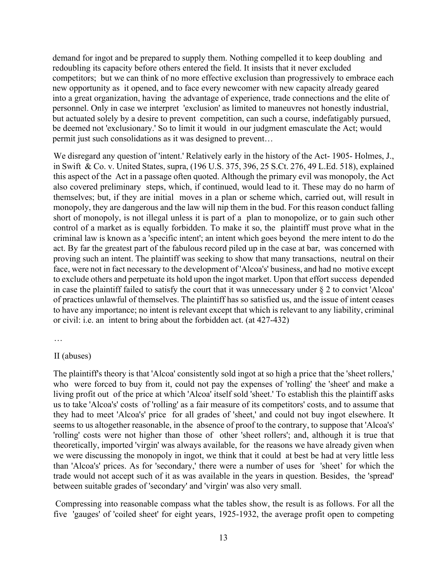demand for ingot and be prepared to supply them. Nothing compelled it to keep doubling and redoubling its capacity before others entered the field. It insists that it never excluded competitors; but we can think of no more effective exclusion than progressively to embrace each new opportunity as it opened, and to face every newcomer with new capacity already geared into a great organization, having the advantage of experience, trade connections and the elite of personnel. Only in case we interpret 'exclusion' as limited to maneuvres not honestly industrial, but actuated solely by a desire to prevent competition, can such a course, indefatigably pursued, be deemed not 'exclusionary.' So to limit it would in our judgment emasculate the Act; would permit just such consolidations as it was designed to prevent…

We disregard any question of 'intent.' Relatively early in the history of the Act- 1905- Holmes, J., in Swift & Co. v. United States, supra, (196 U.S. 375, 396, 25 S.Ct. 276, 49 L.Ed. 518), explained this aspect of the Act in a passage often quoted. Although the primary evil was monopoly, the Act also covered preliminary steps, which, if continued, would lead to it. These may do no harm of themselves; but, if they are initial moves in a plan or scheme which, carried out, will result in monopoly, they are dangerous and the law will nip them in the bud. For this reason conduct falling short of monopoly, is not illegal unless it is part of a plan to monopolize, or to gain such other control of a market as is equally forbidden. To make it so, the plaintiff must prove what in the criminal law is known as a 'specific intent'; an intent which goes beyond the mere intent to do the act. By far the greatest part of the fabulous record piled up in the case at bar, was concerned with proving such an intent. The plaintiff was seeking to show that many transactions, neutral on their face, were not in fact necessary to the development of 'Alcoa's' business, and had no motive except to exclude others and perpetuate its hold upon the ingot market. Upon that effort success depended in case the plaintiff failed to satisfy the court that it was unnecessary under § 2 to convict 'Alcoa' of practices unlawful of themselves. The plaintiff has so satisfied us, and the issue of intent ceases to have any importance; no intent is relevant except that which is relevant to any liability, criminal or civil: i.e. an intent to bring about the forbidden act. (at 427-432)

…

### II (abuses)

The plaintiff's theory is that 'Alcoa' consistently sold ingot at so high a price that the 'sheet rollers,' who were forced to buy from it, could not pay the expenses of 'rolling' the 'sheet' and make a living profit out of the price at which 'Alcoa' itself sold 'sheet.' To establish this the plaintiff asks us to take 'Alcoa's' costs of 'rolling' as a fair measure of its competitors' costs, and to assume that they had to meet 'Alcoa's' price for all grades of 'sheet,' and could not buy ingot elsewhere. It seems to us altogether reasonable, in the absence of proof to the contrary, to suppose that 'Alcoa's' 'rolling' costs were not higher than those of other 'sheet rollers'; and, although it is true that theoretically, imported 'virgin' was always available, for the reasons we have already given when we were discussing the monopoly in ingot, we think that it could at best be had at very little less than 'Alcoa's' prices. As for 'secondary,' there were a number of uses for 'sheet' for which the trade would not accept such of it as was available in the years in question. Besides, the 'spread' between suitable grades of 'secondary' and 'virgin' was also very small.

Compressing into reasonable compass what the tables show, the result is as follows. For all the five 'gauges' of 'coiled sheet' for eight years, 1925-1932, the average profit open to competing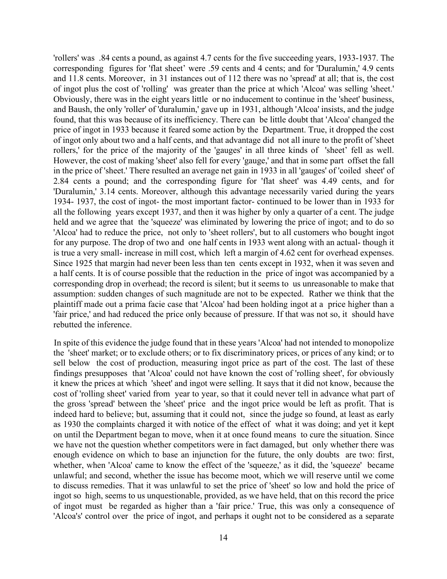'rollers' was .84 cents a pound, as against 4.7 cents for the five succeeding years, 1933-1937. The corresponding figures for 'flat sheet' were .59 cents and 4 cents; and for 'Duralumin,' 4.9 cents and 11.8 cents. Moreover, in 31 instances out of 112 there was no 'spread' at all; that is, the cost of ingot plus the cost of 'rolling' was greater than the price at which 'Alcoa' was selling 'sheet.' Obviously, there was in the eight years little or no inducement to continue in the 'sheet' business, and Baush, the only 'roller' of 'duralumin,' gave up in 1931, although 'Alcoa' insists, and the judge found, that this was because of its inefficiency. There can be little doubt that 'Alcoa' changed the price of ingot in 1933 because it feared some action by the Department. True, it dropped the cost of ingot only about two and a half cents, and that advantage did not all inure to the profit of 'sheet rollers,' for the price of the majority of the 'gauges' in all three kinds of 'sheet' fell as well. However, the cost of making 'sheet' also fell for every 'gauge,' and that in some part offset the fall in the price of 'sheet.' There resulted an average net gain in 1933 in all 'gauges' of 'coiled sheet' of 2.84 cents a pound; and the corresponding figure for 'flat sheet' was 4.49 cents, and for 'Duralumin,' 3.14 cents. Moreover, although this advantage necessarily varied during the years 1934- 1937, the cost of ingot- the most important factor- continued to be lower than in 1933 for all the following years except 1937, and then it was higher by only a quarter of a cent. The judge held and we agree that the 'squeeze' was eliminated by lowering the price of ingot; and to do so 'Alcoa' had to reduce the price, not only to 'sheet rollers', but to all customers who bought ingot for any purpose. The drop of two and one half cents in 1933 went along with an actual- though it is true a very small- increase in mill cost, which left a margin of 4.62 cent for overhead expenses. Since 1925 that margin had never been less than ten cents except in 1932, when it was seven and a half cents. It is of course possible that the reduction in the price of ingot was accompanied by a corresponding drop in overhead; the record is silent; but it seems to us unreasonable to make that assumption: sudden changes of such magnitude are not to be expected. Rather we think that the plaintiff made out a prima facie case that 'Alcoa' had been holding ingot at a price higher than a 'fair price,' and had reduced the price only because of pressure. If that was not so, it should have rebutted the inference.

In spite of this evidence the judge found that in these years 'Alcoa' had not intended to monopolize the 'sheet' market; or to exclude others; or to fix discriminatory prices, or prices of any kind; or to sell below the cost of production, measuring ingot price as part of the cost. The last of these findings presupposes that 'Alcoa' could not have known the cost of 'rolling sheet', for obviously it knew the prices at which 'sheet' and ingot were selling. It says that it did not know, because the cost of 'rolling sheet' varied from year to year, so that it could never tell in advance what part of the gross 'spread' between the 'sheet' price and the ingot price would be left as profit. That is indeed hard to believe; but, assuming that it could not, since the judge so found, at least as early as 1930 the complaints charged it with notice of the effect of what it was doing; and yet it kept on until the Department began to move, when it at once found means to cure the situation. Since we have not the question whether competitors were in fact damaged, but only whether there was enough evidence on which to base an injunction for the future, the only doubts are two: first, whether, when 'Alcoa' came to know the effect of the 'squeeze,' as it did, the 'squeeze' became unlawful; and second, whether the issue has become moot, which we will reserve until we come to discuss remedies. That it was unlawful to set the price of 'sheet' so low and hold the price of ingot so high, seems to us unquestionable, provided, as we have held, that on this record the price of ingot must be regarded as higher than a 'fair price.' True, this was only a consequence of 'Alcoa's' control over the price of ingot, and perhaps it ought not to be considered as a separate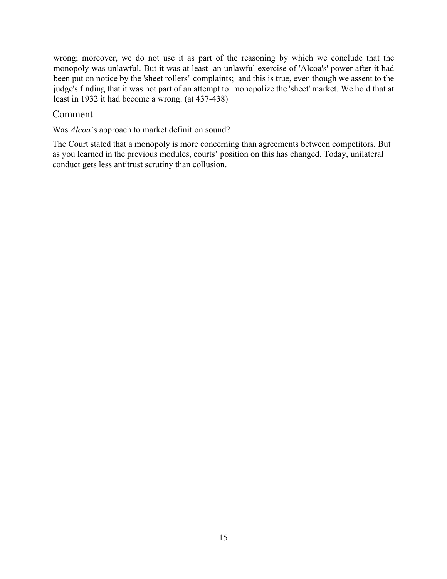wrong; moreover, we do not use it as part of the reasoning by which we conclude that the monopoly was unlawful. But it was at least an unlawful exercise of 'Alcoa's' power after it had been put on notice by the 'sheet rollers" complaints; and this is true, even though we assent to the judge's finding that it was not part of an attempt to monopolize the 'sheet' market. We hold that at least in 1932 it had become a wrong. (at 437-438)

# Comment

Was *Alcoa*'s approach to market definition sound?

The Court stated that a monopoly is more concerning than agreements between competitors. But as you learned in the previous modules, courts' position on this has changed. Today, unilateral conduct gets less antitrust scrutiny than collusion.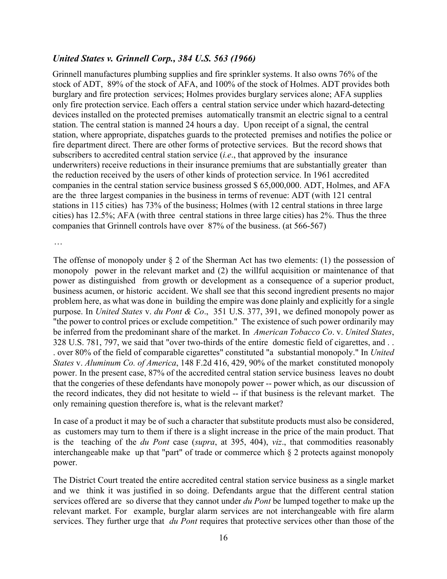## *United States v. Grinnell Corp., 384 U.S. 563 (1966)*

Grinnell manufactures plumbing supplies and fire sprinkler systems. It also owns 76% of the stock of ADT, 89% of the stock of AFA, and 100% of the stock of Holmes. ADT provides both burglary and fire protection services; Holmes provides burglary services alone; AFA supplies only fire protection service. Each offers a central station service under which hazard-detecting devices installed on the protected premises automatically transmit an electric signal to a central station. The central station is manned 24 hours a day. Upon receipt of a signal, the central station, where appropriate, dispatches guards to the protected premises and notifies the police or fire department direct. There are other forms of protective services. But the record shows that subscribers to accredited central station service (*i.e*., that approved by the insurance underwriters) receive reductions in their insurance premiums that are substantially greater than the reduction received by the users of other kinds of protection service. In 1961 accredited companies in the central station service business grossed \$ 65,000,000. ADT, Holmes, and AFA are the three largest companies in the business in terms of revenue: ADT (with 121 central stations in 115 cities) has 73% of the business; Holmes (with 12 central stations in three large cities) has 12.5%; AFA (with three central stations in three large cities) has 2%. Thus the three companies that Grinnell controls have over 87% of the business. (at 566-567)

…

The offense of monopoly under  $\S 2$  of the Sherman Act has two elements: (1) the possession of monopoly power in the relevant market and (2) the willful acquisition or maintenance of that power as distinguished from growth or development as a consequence of a superior product, business acumen, or historic accident. We shall see that this second ingredient presents no major problem here, as what was done in building the empire was done plainly and explicitly for a single purpose. In *United States* v. *du Pont & Co*., 351 U.S. 377, 391, we defined monopoly power as "the power to control prices or exclude competition." The existence of such power ordinarily may be inferred from the predominant share of the market. In *American Tobacco Co*. v. *United States*, 328 U.S. 781, 797, we said that "over two-thirds of the entire domestic field of cigarettes, and . . . over 80% of the field of comparable cigarettes" constituted "a substantial monopoly." In *United States* v. *Aluminum Co. of America*, 148 F.2d 416, 429, 90% of the market constituted monopoly power. In the present case, 87% of the accredited central station service business leaves no doubt that the congeries of these defendants have monopoly power -- power which, as our discussion of the record indicates, they did not hesitate to wield -- if that business is the relevant market. The only remaining question therefore is, what is the relevant market?

In case of a product it may be of such a character that substitute products must also be considered, as customers may turn to them if there is a slight increase in the price of the main product. That is the teaching of the *du Pont* case (*supra*, at 395, 404), *viz*., that commodities reasonably interchangeable make up that "part" of trade or commerce which  $\S 2$  protects against monopoly power.

The District Court treated the entire accredited central station service business as a single market and we think it was justified in so doing. Defendants argue that the different central station services offered are so diverse that they cannot under *du Pont* be lumped together to make up the relevant market. For example, burglar alarm services are not interchangeable with fire alarm services. They further urge that *du Pont* requires that protective services other than those of the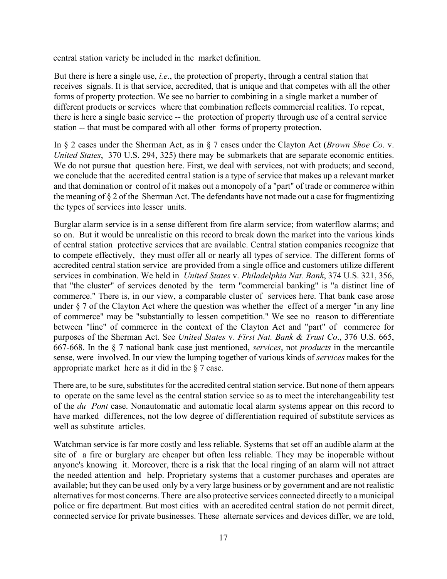central station variety be included in the market definition.

But there is here a single use, *i.e*., the protection of property, through a central station that receives signals. It is that service, accredited, that is unique and that competes with all the other forms of property protection. We see no barrier to combining in a single market a number of different products or services where that combination reflects commercial realities. To repeat, there is here a single basic service -- the protection of property through use of a central service station -- that must be compared with all other forms of property protection.

In § 2 cases under the Sherman Act, as in § 7 cases under the Clayton Act (*Brown Shoe Co*. v. *United States*, 370 U.S. 294, 325) there may be submarkets that are separate economic entities. We do not pursue that question here. First, we deal with services, not with products; and second, we conclude that the accredited central station is a type of service that makes up a relevant market and that domination or control of it makes out a monopoly of a "part" of trade or commerce within the meaning of  $\S 2$  of the Sherman Act. The defendants have not made out a case for fragmentizing the types of services into lesser units.

Burglar alarm service is in a sense different from fire alarm service; from waterflow alarms; and so on. But it would be unrealistic on this record to break down the market into the various kinds of central station protective services that are available. Central station companies recognize that to compete effectively, they must offer all or nearly all types of service. The different forms of accredited central station service are provided from a single office and customers utilize different services in combination. We held in *United States* v. *Philadelphia Nat. Bank*, 374 U.S. 321, 356, that "the cluster" of services denoted by the term "commercial banking" is "a distinct line of commerce." There is, in our view, a comparable cluster of services here. That bank case arose under  $\S$  7 of the Clayton Act where the question was whether the effect of a merger "in any line of commerce" may be "substantially to lessen competition." We see no reason to differentiate between "line" of commerce in the context of the Clayton Act and "part" of commerce for purposes of the Sherman Act. See *United States* v. *First Nat. Bank & Trust Co*., 376 U.S. 665, 667-668. In the § 7 national bank case just mentioned, *services*, not *products* in the mercantile sense, were involved. In our view the lumping together of various kinds of *services* makes for the appropriate market here as it did in the  $\S 7$  case.

There are, to be sure, substitutes for the accredited central station service. But none of them appears to operate on the same level as the central station service so as to meet the interchangeability test of the *du Pont* case. Nonautomatic and automatic local alarm systems appear on this record to have marked differences, not the low degree of differentiation required of substitute services as well as substitute articles.

Watchman service is far more costly and less reliable. Systems that set off an audible alarm at the site of a fire or burglary are cheaper but often less reliable. They may be inoperable without anyone's knowing it. Moreover, there is a risk that the local ringing of an alarm will not attract the needed attention and help. Proprietary systems that a customer purchases and operates are available; but they can be used only by a very large business or by government and are not realistic alternatives for most concerns. There are also protective services connected directly to a municipal police or fire department. But most cities with an accredited central station do not permit direct, connected service for private businesses. These alternate services and devices differ, we are told,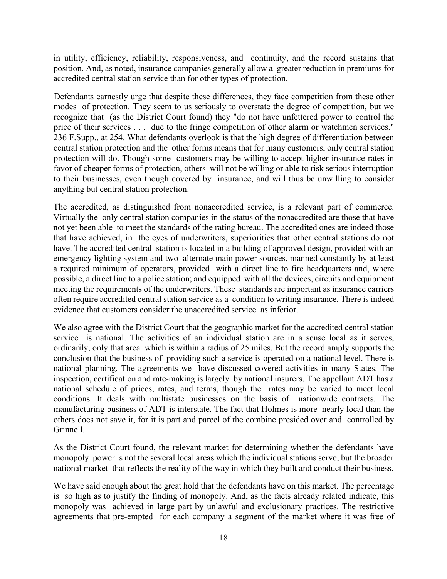in utility, efficiency, reliability, responsiveness, and continuity, and the record sustains that position. And, as noted, insurance companies generally allow a greater reduction in premiums for accredited central station service than for other types of protection.

Defendants earnestly urge that despite these differences, they face competition from these other modes of protection. They seem to us seriously to overstate the degree of competition, but we recognize that (as the District Court found) they "do not have unfettered power to control the price of their services . . . due to the fringe competition of other alarm or watchmen services." 236 F.Supp., at 254. What defendants overlook is that the high degree of differentiation between central station protection and the other forms means that for many customers, only central station protection will do. Though some customers may be willing to accept higher insurance rates in favor of cheaper forms of protection, others will not be willing or able to risk serious interruption to their businesses, even though covered by insurance, and will thus be unwilling to consider anything but central station protection.

The accredited, as distinguished from nonaccredited service, is a relevant part of commerce. Virtually the only central station companies in the status of the nonaccredited are those that have not yet been able to meet the standards of the rating bureau. The accredited ones are indeed those that have achieved, in the eyes of underwriters, superiorities that other central stations do not have. The accredited central station is located in a building of approved design, provided with an emergency lighting system and two alternate main power sources, manned constantly by at least a required minimum of operators, provided with a direct line to fire headquarters and, where possible, a direct line to a police station; and equipped with all the devices, circuits and equipment meeting the requirements of the underwriters. These standards are important as insurance carriers often require accredited central station service as a condition to writing insurance. There is indeed evidence that customers consider the unaccredited service as inferior.

We also agree with the District Court that the geographic market for the accredited central station service is national. The activities of an individual station are in a sense local as it serves, ordinarily, only that area which is within a radius of 25 miles. But the record amply supports the conclusion that the business of providing such a service is operated on a national level. There is national planning. The agreements we have discussed covered activities in many States. The inspection, certification and rate-making is largely by national insurers. The appellant ADT has a national schedule of prices, rates, and terms, though the rates may be varied to meet local conditions. It deals with multistate businesses on the basis of nationwide contracts. The manufacturing business of ADT is interstate. The fact that Holmes is more nearly local than the others does not save it, for it is part and parcel of the combine presided over and controlled by Grinnell.

As the District Court found, the relevant market for determining whether the defendants have monopoly power is not the several local areas which the individual stations serve, but the broader national market that reflects the reality of the way in which they built and conduct their business.

We have said enough about the great hold that the defendants have on this market. The percentage is so high as to justify the finding of monopoly. And, as the facts already related indicate, this monopoly was achieved in large part by unlawful and exclusionary practices. The restrictive agreements that pre-empted for each company a segment of the market where it was free of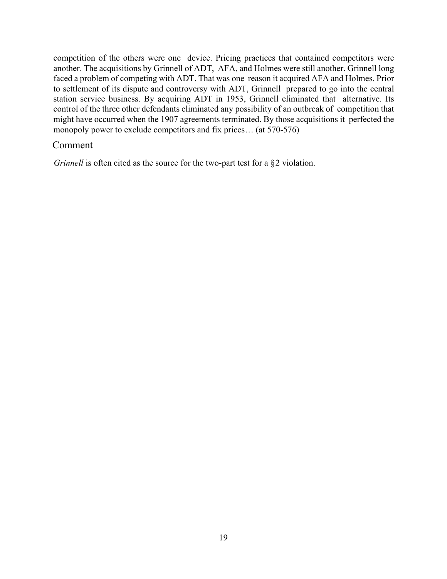competition of the others were one device. Pricing practices that contained competitors were another. The acquisitions by Grinnell of ADT, AFA, and Holmes were still another. Grinnell long faced a problem of competing with ADT. That was one reason it acquired AFA and Holmes. Prior to settlement of its dispute and controversy with ADT, Grinnell prepared to go into the central station service business. By acquiring ADT in 1953, Grinnell eliminated that alternative. Its control of the three other defendants eliminated any possibility of an outbreak of competition that might have occurred when the 1907 agreements terminated. By those acquisitions it perfected the monopoly power to exclude competitors and fix prices… (at 570-576)

## Comment

*Grinnell* is often cited as the source for the two-part test for a §2 violation.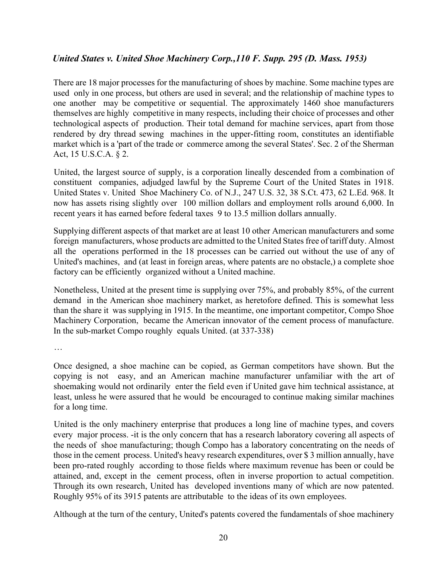# *United States v. United Shoe Machinery Corp.,110 F. Supp. 295 (D. Mass. 1953)*

There are 18 major processes for the manufacturing of shoes by machine. Some machine types are used only in one process, but others are used in several; and the relationship of machine types to one another may be competitive or sequential. The approximately 1460 shoe manufacturers themselves are highly competitive in many respects, including their choice of processes and other technological aspects of production. Their total demand for machine services, apart from those rendered by dry thread sewing machines in the upper-fitting room, constitutes an identifiable market which is a 'part of the trade or commerce among the several States'. Sec. 2 of the Sherman Act, 15 U.S.C.A. § 2.

United, the largest source of supply, is a corporation lineally descended from a combination of constituent companies, adjudged lawful by the Supreme Court of the United States in 1918. United States v. United Shoe Machinery Co. of N.J., 247 U.S. 32, 38 S.Ct. 473, 62 L.Ed. 968. It now has assets rising slightly over 100 million dollars and employment rolls around 6,000. In recent years it has earned before federal taxes 9 to 13.5 million dollars annually.

Supplying different aspects of that market are at least 10 other American manufacturers and some foreign manufacturers, whose products are admitted to the United States free of tariff duty. Almost all the operations performed in the 18 processes can be carried out without the use of any of United's machines, and (at least in foreign areas, where patents are no obstacle,) a complete shoe factory can be efficiently organized without a United machine.

Nonetheless, United at the present time is supplying over 75%, and probably 85%, of the current demand in the American shoe machinery market, as heretofore defined. This is somewhat less than the share it was supplying in 1915. In the meantime, one important competitor, Compo Shoe Machinery Corporation, became the American innovator of the cement process of manufacture. In the sub-market Compo roughly equals United. (at 337-338)

…

Once designed, a shoe machine can be copied, as German competitors have shown. But the copying is not easy, and an American machine manufacturer unfamiliar with the art of shoemaking would not ordinarily enter the field even if United gave him technical assistance, at least, unless he were assured that he would be encouraged to continue making similar machines for a long time.

United is the only machinery enterprise that produces a long line of machine types, and covers every major process. -it is the only concern that has a research laboratory covering all aspects of the needs of shoe manufacturing; though Compo has a laboratory concentrating on the needs of those in the cement process. United's heavy research expenditures, over \$ 3 million annually, have been pro-rated roughly according to those fields where maximum revenue has been or could be attained, and, except in the cement process, often in inverse proportion to actual competition. Through its own research, United has developed inventions many of which are now patented. Roughly 95% of its 3915 patents are attributable to the ideas of its own employees.

Although at the turn of the century, United's patents covered the fundamentals of shoe machinery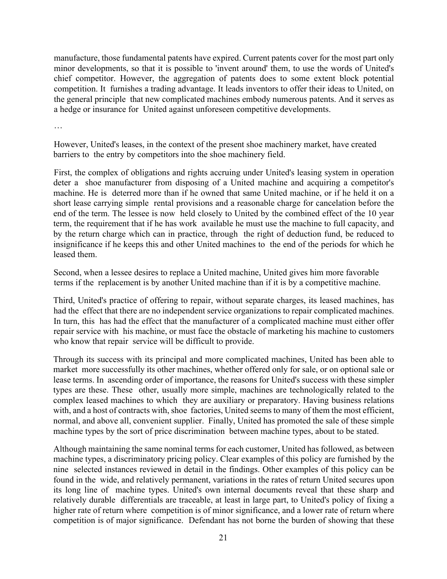manufacture, those fundamental patents have expired. Current patents cover for the most part only minor developments, so that it is possible to 'invent around' them, to use the words of United's chief competitor. However, the aggregation of patents does to some extent block potential competition. It furnishes a trading advantage. It leads inventors to offer their ideas to United, on the general principle that new complicated machines embody numerous patents. And it serves as a hedge or insurance for United against unforeseen competitive developments.

…

However, United's leases, in the context of the present shoe machinery market, have created barriers to the entry by competitors into the shoe machinery field.

First, the complex of obligations and rights accruing under United's leasing system in operation deter a shoe manufacturer from disposing of a United machine and acquiring a competitor's machine. He is deterred more than if he owned that same United machine, or if he held it on a short lease carrying simple rental provisions and a reasonable charge for cancelation before the end of the term. The lessee is now held closely to United by the combined effect of the 10 year term, the requirement that if he has work available he must use the machine to full capacity, and by the return charge which can in practice, through the right of deduction fund, be reduced to insignificance if he keeps this and other United machines to the end of the periods for which he leased them.

Second, when a lessee desires to replace a United machine, United gives him more favorable terms if the replacement is by another United machine than if it is by a competitive machine.

Third, United's practice of offering to repair, without separate charges, its leased machines, has had the effect that there are no independent service organizations to repair complicated machines. In turn, this has had the effect that the manufacturer of a complicated machine must either offer repair service with his machine, or must face the obstacle of marketing his machine to customers who know that repair service will be difficult to provide.

Through its success with its principal and more complicated machines, United has been able to market more successfully its other machines, whether offered only for sale, or on optional sale or lease terms. In ascending order of importance, the reasons for United's success with these simpler types are these. These other, usually more simple, machines are technologically related to the complex leased machines to which they are auxiliary or preparatory. Having business relations with, and a host of contracts with, shoe factories, United seems to many of them the most efficient, normal, and above all, convenient supplier. Finally, United has promoted the sale of these simple machine types by the sort of price discrimination between machine types, about to be stated.

Although maintaining the same nominal terms for each customer, United has followed, as between machine types, a discriminatory pricing policy. Clear examples of this policy are furnished by the nine selected instances reviewed in detail in the findings. Other examples of this policy can be found in the wide, and relatively permanent, variations in the rates of return United secures upon its long line of machine types. United's own internal documents reveal that these sharp and relatively durable differentials are traceable, at least in large part, to United's policy of fixing a higher rate of return where competition is of minor significance, and a lower rate of return where competition is of major significance. Defendant has not borne the burden of showing that these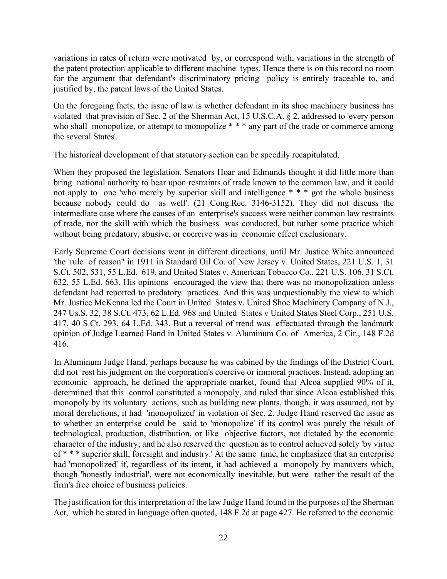variations in rates of return were motivated by, or correspond with, variations in the strength of the patent protection applicable to different machine types. Hence there is on this record no room for the argument that defendant's discriminatory pricing policy is entirely traceable to, and justified by, the patent laws of the United States.

On the foregoing facts, the issue of law is whether defendant in its shoe machinery business has violated that provision of Sec. 2 of the Sherman Act, 15 U.S.C.A. § 2, addressed to 'every person who shall monopolize, or attempt to monopolize \* \* \* any part of the trade or commerce among the several States'.

The historical development of that statutory section can be speedily recapitulated.

When they proposed the legislation, Senators Hoar and Edmunds thought it did little more than bring national authority to bear upon restraints of trade known to the common law, and it could not apply to one 'who merely by superior skill and intelligence \* \* \* got the whole business because nobody could do as well'. (21 Cong.Rec. 3146-3152). They did not discuss the intermediate case where the causes of an enterprise's success were neither common law restraints of trade, nor the skill with which the business was conducted, but rather some practice which without being predatory, abusive, or coercive was in economic effect exclusionary.

Early Supreme Court decisions went in different directions, until Mr. Justice White announced 'the 'rule of reason" in 1911 in Standard Oil Co. of New Jersey v. United States, 221 U.S. 1, 31 S.Ct. 502, 531, 55 L.Ed. 619, and United States v. American Tobacco Co., 221 U.S. 106, 31 S.Ct. 632, 55 L.Ed. 663. His opinions encouraged the view that there was no monopolization unless defendant had reported to predatory practices. And this was unquestionably the view to which Mr. Justice McKenna led the Court in United States v. United Shoe Machinery Company of N.J., 247 Us.S. 32, 38 S.Ct. 473, 62 L.Ed. 968 and United States v United States Steel Corp., 251 U.S. 417, 40 S.Ct. 293, 64 L.Ed. 343. But a reversal of trend was effectuated through the landmark opinion of Judge Learned Hand in United States v. Aluminum Co. of America, 2 Cir., 148 F.2d 416.

In Aluminum Judge Hand, perhaps because he was cabined by the findings of the District Court, did not rest his judgment on the corporation's coercive or immoral practices. Instead, adopting an economic approach, he defined the appropriate market, found that Alcoa supplied 90% of it, determined that this control constituted a monopoly, and ruled that since Alcoa established this monopoly by its voluntary actions, such as building new plants, though, it was assumed, not by moral derelictions, it had 'monopolized' in violation of Sec. 2. Judge Hand reserved the issue as to whether an enterprise could be said to 'monopolize' if its control was purely the result of technological, production, distribution, or like objective factors, not dictated by the economic character of the industry; and he also reserved the question as to control achieved solely 'by virtue of \* \* \* superior skill, foresight and industry.' At the same time, he emphasized that an enterprise had 'monopolized' if, regardless of its intent, it had achieved a monopoly by manuvers which, though 'honestly industrial', were not economically inevitable, but were rather the result of the firm's free choice of business policies.

The justification for this interpretation of the law Judge Hand found in the purposes of the Sherman Act, which he stated in language often quoted, 148 F.2d at page 427. He referred to the economic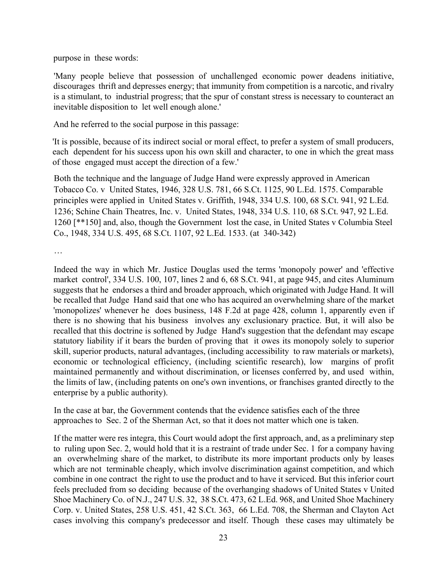purpose in these words:

'Many people believe that possession of unchallenged economic power deadens initiative, discourages thrift and depresses energy; that immunity from competition is a narcotic, and rivalry is a stimulant, to industrial progress; that the spur of constant stress is necessary to counteract an inevitable disposition to let well enough alone.'

And he referred to the social purpose in this passage:

'It is possible, because of its indirect social or moral effect, to prefer a system of small producers, each dependent for his success upon his own skill and character, to one in which the great mass of those engaged must accept the direction of a few.'

Both the technique and the language of Judge Hand were expressly approved in American Tobacco Co. v United States, 1946, 328 U.S. 781, 66 S.Ct. 1125, 90 L.Ed. 1575. Comparable principles were applied in United States v. Griffith, 1948, 334 U.S. 100, 68 S.Ct. 941, 92 L.Ed. 1236; Schine Chain Theatres, Inc. v. United States, 1948, 334 U.S. 110, 68 S.Ct. 947, 92 L.Ed. 1260 [\*\*150] and, also, though the Government lost the case, in United States v Columbia Steel Co., 1948, 334 U.S. 495, 68 S.Ct. 1107, 92 L.Ed. 1533. (at 340-342)

…

Indeed the way in which Mr. Justice Douglas used the terms 'monopoly power' and 'effective market control', 334 U.S. 100, 107, lines 2 and 6, 68 S.Ct. 941, at page 945, and cites Aluminum suggests that he endorses a third and broader approach, which originated with Judge Hand. It will be recalled that Judge Hand said that one who has acquired an overwhelming share of the market 'monopolizes' whenever he does business, 148 F.2d at page 428, column 1, apparently even if there is no showing that his business involves any exclusionary practice. But, it will also be recalled that this doctrine is softened by Judge Hand's suggestion that the defendant may escape statutory liability if it bears the burden of proving that it owes its monopoly solely to superior skill, superior products, natural advantages, (including accessibility to raw materials or markets), economic or technological efficiency, (including scientific research), low margins of profit maintained permanently and without discrimination, or licenses conferred by, and used within, the limits of law, (including patents on one's own inventions, or franchises granted directly to the enterprise by a public authority).

In the case at bar, the Government contends that the evidence satisfies each of the three approaches to Sec. 2 of the Sherman Act, so that it does not matter which one is taken.

If the matter were res integra, this Court would adopt the first approach, and, as a preliminary step to ruling upon Sec. 2, would hold that it is a restraint of trade under Sec. 1 for a company having an overwhelming share of the market, to distribute its more important products only by leases which are not terminable cheaply, which involve discrimination against competition, and which combine in one contract the right to use the product and to have it serviced. But this inferior court feels precluded from so deciding because of the overhanging shadows of United States v United Shoe Machinery Co. of N.J., 247 U.S. 32, 38 S.Ct. 473, 62 L.Ed. 968, and United Shoe Machinery Corp. v. United States, 258 U.S. 451, 42 S.Ct. 363, 66 L.Ed. 708, the Sherman and Clayton Act cases involving this company's predecessor and itself. Though these cases may ultimately be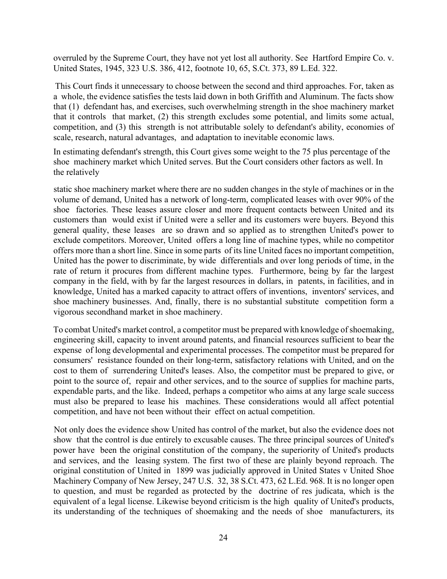overruled by the Supreme Court, they have not yet lost all authority. See Hartford Empire Co. v. United States, 1945, 323 U.S. 386, 412, footnote 10, 65, S.Ct. 373, 89 L.Ed. 322.

This Court finds it unnecessary to choose between the second and third approaches. For, taken as a whole, the evidence satisfies the tests laid down in both Griffith and Aluminum. The facts show that (1) defendant has, and exercises, such overwhelming strength in the shoe machinery market that it controls that market, (2) this strength excludes some potential, and limits some actual, competition, and (3) this strength is not attributable solely to defendant's ability, economies of scale, research, natural advantages, and adaptation to inevitable economic laws.

In estimating defendant's strength, this Court gives some weight to the 75 plus percentage of the shoe machinery market which United serves. But the Court considers other factors as well. In the relatively

static shoe machinery market where there are no sudden changes in the style of machines or in the volume of demand, United has a network of long-term, complicated leases with over 90% of the shoe factories. These leases assure closer and more frequent contacts between United and its customers than would exist if United were a seller and its customers were buyers. Beyond this general quality, these leases are so drawn and so applied as to strengthen United's power to exclude competitors. Moreover, United offers a long line of machine types, while no competitor offers more than a short line. Since in some parts of its line United faces no important competition, United has the power to discriminate, by wide differentials and over long periods of time, in the rate of return it procures from different machine types. Furthermore, being by far the largest company in the field, with by far the largest resources in dollars, in patents, in facilities, and in knowledge, United has a marked capacity to attract offers of inventions, inventors' services, and shoe machinery businesses. And, finally, there is no substantial substitute competition form a vigorous secondhand market in shoe machinery.

To combat United's market control, a competitor must be prepared with knowledge of shoemaking, engineering skill, capacity to invent around patents, and financial resources sufficient to bear the expense of long developmental and experimental processes. The competitor must be prepared for consumers' resistance founded on their long-term, satisfactory relations with United, and on the cost to them of surrendering United's leases. Also, the competitor must be prepared to give, or point to the source of, repair and other services, and to the source of supplies for machine parts, expendable parts, and the like. Indeed, perhaps a competitor who aims at any large scale success must also be prepared to lease his machines. These considerations would all affect potential competition, and have not been without their effect on actual competition.

Not only does the evidence show United has control of the market, but also the evidence does not show that the control is due entirely to excusable causes. The three principal sources of United's power have been the original constitution of the company, the superiority of United's products and services, and the leasing system. The first two of these are plainly beyond reproach. The original constitution of United in 1899 was judicially approved in United States v United Shoe Machinery Company of New Jersey, 247 U.S. 32, 38 S.Ct. 473, 62 L.Ed. 968. It is no longer open to question, and must be regarded as protected by the doctrine of res judicata, which is the equivalent of a legal license. Likewise beyond criticism is the high quality of United's products, its understanding of the techniques of shoemaking and the needs of shoe manufacturers, its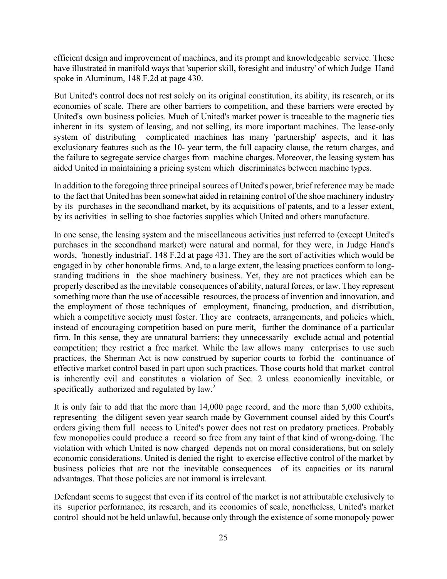efficient design and improvement of machines, and its prompt and knowledgeable service. These have illustrated in manifold ways that 'superior skill, foresight and industry' of which Judge Hand spoke in Aluminum, 148 F.2d at page 430.

But United's control does not rest solely on its original constitution, its ability, its research, or its economies of scale. There are other barriers to competition, and these barriers were erected by United's own business policies. Much of United's market power is traceable to the magnetic ties inherent in its system of leasing, and not selling, its more important machines. The lease-only system of distributing complicated machines has many 'partnership' aspects, and it has exclusionary features such as the 10- year term, the full capacity clause, the return charges, and the failure to segregate service charges from machine charges. Moreover, the leasing system has aided United in maintaining a pricing system which discriminates between machine types.

In addition to the foregoing three principal sources of United's power, brief reference may be made to the fact that United has been somewhat aided in retaining control of the shoe machinery industry by its purchases in the secondhand market, by its acquisitions of patents, and to a lesser extent, by its activities in selling to shoe factories supplies which United and others manufacture.

In one sense, the leasing system and the miscellaneous activities just referred to (except United's purchases in the secondhand market) were natural and normal, for they were, in Judge Hand's words, 'honestly industrial'. 148 F.2d at page 431. They are the sort of activities which would be engaged in by other honorable firms. And, to a large extent, the leasing practices conform to longstanding traditions in the shoe machinery business. Yet, they are not practices which can be properly described as the inevitable consequences of ability, natural forces, or law. They represent something more than the use of accessible resources, the process of invention and innovation, and the employment of those techniques of employment, financing, production, and distribution, which a competitive society must foster. They are contracts, arrangements, and policies which, instead of encouraging competition based on pure merit, further the dominance of a particular firm. In this sense, they are unnatural barriers; they unnecessarily exclude actual and potential competition; they restrict a free market. While the law allows many enterprises to use such practices, the Sherman Act is now construed by superior courts to forbid the continuance of effective market control based in part upon such practices. Those courts hold that market control is inherently evil and constitutes a violation of Sec. 2 unless economically inevitable, or specifically authorized and regulated by law.<sup>2</sup>

It is only fair to add that the more than 14,000 page record, and the more than 5,000 exhibits, representing the diligent seven year search made by Government counsel aided by this Court's orders giving them full access to United's power does not rest on predatory practices. Probably few monopolies could produce a record so free from any taint of that kind of wrong-doing. The violation with which United is now charged depends not on moral considerations, but on solely economic considerations. United is denied the right to exercise effective control of the market by business policies that are not the inevitable consequences of its capacities or its natural advantages. That those policies are not immoral is irrelevant.

Defendant seems to suggest that even if its control of the market is not attributable exclusively to its superior performance, its research, and its economies of scale, nonetheless, United's market control should not be held unlawful, because only through the existence of some monopoly power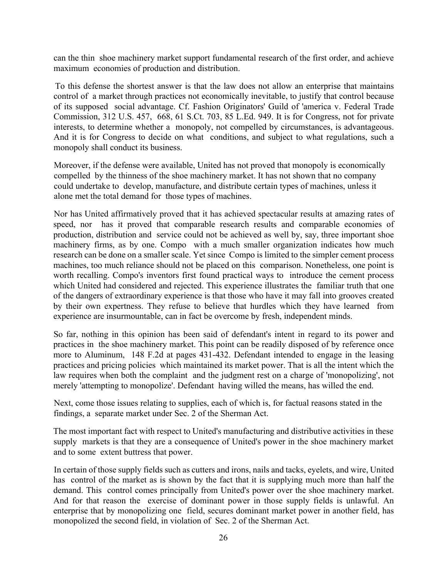can the thin shoe machinery market support fundamental research of the first order, and achieve maximum economies of production and distribution.

To this defense the shortest answer is that the law does not allow an enterprise that maintains control of a market through practices not economically inevitable, to justify that control because of its supposed social advantage. Cf. Fashion Originators' Guild of 'america v. Federal Trade Commission, 312 U.S. 457, 668, 61 S.Ct. 703, 85 L.Ed. 949. It is for Congress, not for private interests, to determine whether a monopoly, not compelled by circumstances, is advantageous. And it is for Congress to decide on what conditions, and subject to what regulations, such a monopoly shall conduct its business.

Moreover, if the defense were available, United has not proved that monopoly is economically compelled by the thinness of the shoe machinery market. It has not shown that no company could undertake to develop, manufacture, and distribute certain types of machines, unless it alone met the total demand for those types of machines.

Nor has United affirmatively proved that it has achieved spectacular results at amazing rates of speed, nor has it proved that comparable research results and comparable economies of production, distribution and service could not be achieved as well by, say, three important shoe machinery firms, as by one. Compo with a much smaller organization indicates how much research can be done on a smaller scale. Yet since Compo is limited to the simpler cement process machines, too much reliance should not be placed on this comparison. Nonetheless, one point is worth recalling. Compo's inventors first found practical ways to introduce the cement process which United had considered and rejected. This experience illustrates the familiar truth that one of the dangers of extraordinary experience is that those who have it may fall into grooves created by their own expertness. They refuse to believe that hurdles which they have learned from experience are insurmountable, can in fact be overcome by fresh, independent minds.

So far, nothing in this opinion has been said of defendant's intent in regard to its power and practices in the shoe machinery market. This point can be readily disposed of by reference once more to Aluminum, 148 F.2d at pages 431-432. Defendant intended to engage in the leasing practices and pricing policies which maintained its market power. That is all the intent which the law requires when both the complaint and the judgment rest on a charge of 'monopolizing', not merely 'attempting to monopolize'. Defendant having willed the means, has willed the end.

Next, come those issues relating to supplies, each of which is, for factual reasons stated in the findings, a separate market under Sec. 2 of the Sherman Act.

The most important fact with respect to United's manufacturing and distributive activities in these supply markets is that they are a consequence of United's power in the shoe machinery market and to some extent buttress that power.

In certain of those supply fields such as cutters and irons, nails and tacks, eyelets, and wire, United has control of the market as is shown by the fact that it is supplying much more than half the demand. This control comes principally from United's power over the shoe machinery market. And for that reason the exercise of dominant power in those supply fields is unlawful. An enterprise that by monopolizing one field, secures dominant market power in another field, has monopolized the second field, in violation of Sec. 2 of the Sherman Act.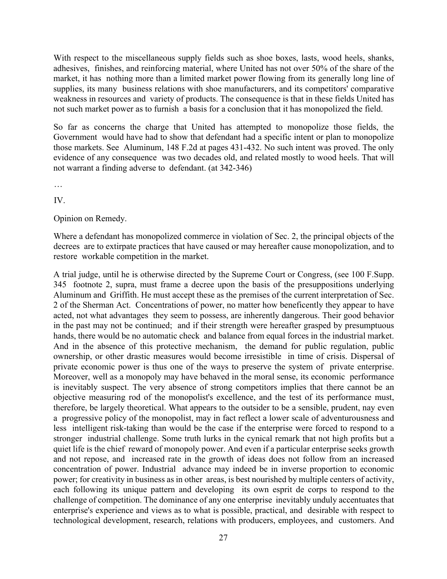With respect to the miscellaneous supply fields such as shoe boxes, lasts, wood heels, shanks, adhesives, finishes, and reinforcing material, where United has not over 50% of the share of the market, it has nothing more than a limited market power flowing from its generally long line of supplies, its many business relations with shoe manufacturers, and its competitors' comparative weakness in resources and variety of products. The consequence is that in these fields United has not such market power as to furnish a basis for a conclusion that it has monopolized the field.

So far as concerns the charge that United has attempted to monopolize those fields, the Government would have had to show that defendant had a specific intent or plan to monopolize those markets. See Aluminum, 148 F.2d at pages 431-432. No such intent was proved. The only evidence of any consequence was two decades old, and related mostly to wood heels. That will not warrant a finding adverse to defendant. (at 342-346)

…

#### IV.

#### Opinion on Remedy.

Where a defendant has monopolized commerce in violation of Sec. 2, the principal objects of the decrees are to extirpate practices that have caused or may hereafter cause monopolization, and to restore workable competition in the market.

A trial judge, until he is otherwise directed by the Supreme Court or Congress, (see 100 F.Supp. 345 footnote 2, supra, must frame a decree upon the basis of the presuppositions underlying Aluminum and Griffith. He must accept these as the premises of the current interpretation of Sec. 2 of the Sherman Act. Concentrations of power, no matter how beneficently they appear to have acted, not what advantages they seem to possess, are inherently dangerous. Their good behavior in the past may not be continued; and if their strength were hereafter grasped by presumptuous hands, there would be no automatic check and balance from equal forces in the industrial market. And in the absence of this protective mechanism, the demand for public regulation, public ownership, or other drastic measures would become irresistible in time of crisis. Dispersal of private economic power is thus one of the ways to preserve the system of private enterprise. Moreover, well as a monopoly may have behaved in the moral sense, its economic performance is inevitably suspect. The very absence of strong competitors implies that there cannot be an objective measuring rod of the monopolist's excellence, and the test of its performance must, therefore, be largely theoretical. What appears to the outsider to be a sensible, prudent, nay even a progressive policy of the monopolist, may in fact reflect a lower scale of adventurousness and less intelligent risk-taking than would be the case if the enterprise were forced to respond to a stronger industrial challenge. Some truth lurks in the cynical remark that not high profits but a quiet life is the chief reward of monopoly power. And even if a particular enterprise seeks growth and not repose, and increased rate in the growth of ideas does not follow from an increased concentration of power. Industrial advance may indeed be in inverse proportion to economic power; for creativity in business as in other areas, is best nourished by multiple centers of activity, each following its unique pattern and developing its own esprit de corps to respond to the challenge of competition. The dominance of any one enterprise inevitably unduly accentuates that enterprise's experience and views as to what is possible, practical, and desirable with respect to technological development, research, relations with producers, employees, and customers. And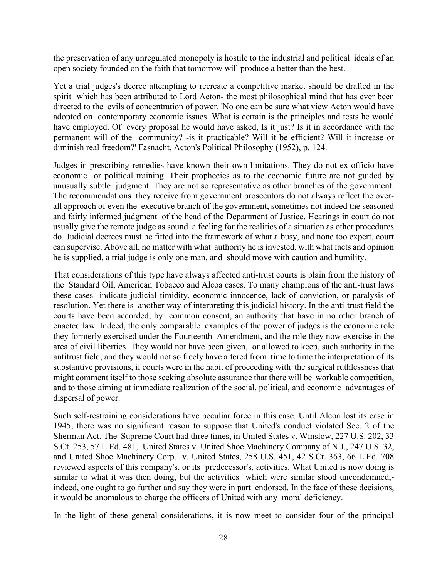the preservation of any unregulated monopoly is hostile to the industrial and political ideals of an open society founded on the faith that tomorrow will produce a better than the best.

Yet a trial judges's decree attempting to recreate a competitive market should be drafted in the spirit which has been attributed to Lord Acton- the most philosophical mind that has ever been directed to the evils of concentration of power. 'No one can be sure what view Acton would have adopted on contemporary economic issues. What is certain is the principles and tests he would have employed. Of every proposal he would have asked, Is it just? Is it in accordance with the permanent will of the community? -is it practicable? Will it be efficient? Will it increase or diminish real freedom?' Fasnacht, Acton's Political Philosophy (1952), p. 124.

Judges in prescribing remedies have known their own limitations. They do not ex officio have economic or political training. Their prophecies as to the economic future are not guided by unusually subtle judgment. They are not so representative as other branches of the government. The recommendations they receive from government prosecutors do not always reflect the overall approach of even the executive branch of the government, sometimes not indeed the seasoned and fairly informed judgment of the head of the Department of Justice. Hearings in court do not usually give the remote judge as sound a feeling for the realities of a situation as other procedures do. Judicial decrees must be fitted into the framework of what a busy, and none too expert, court can supervise. Above all, no matter with what authority he is invested, with what facts and opinion he is supplied, a trial judge is only one man, and should move with caution and humility.

That considerations of this type have always affected anti-trust courts is plain from the history of the Standard Oil, American Tobacco and Alcoa cases. To many champions of the anti-trust laws these cases indicate judicial timidity, economic innocence, lack of conviction, or paralysis of resolution. Yet there is another way of interpreting this judicial history. In the anti-trust field the courts have been accorded, by common consent, an authority that have in no other branch of enacted law. Indeed, the only comparable examples of the power of judges is the economic role they formerly exercised under the Fourteenth Amendment, and the role they now exercise in the area of civil liberties. They would not have been given, or allowed to keep, such authority in the antitrust field, and they would not so freely have altered from time to time the interpretation of its substantive provisions, if courts were in the habit of proceeding with the surgical ruthlessness that might comment itself to those seeking absolute assurance that there will be workable competition, and to those aiming at immediate realization of the social, political, and economic advantages of dispersal of power.

Such self-restraining considerations have peculiar force in this case. Until Alcoa lost its case in 1945, there was no significant reason to suppose that United's conduct violated Sec. 2 of the Sherman Act. The Supreme Court had three times, in United States v. Winslow, 227 U.S. 202, 33 S.Ct. 253, 57 L.Ed. 481, United States v. United Shoe Machinery Company of N.J., 247 U.S. 32, and United Shoe Machinery Corp. v. United States, 258 U.S. 451, 42 S.Ct. 363, 66 L.Ed. 708 reviewed aspects of this company's, or its predecessor's, activities. What United is now doing is similar to what it was then doing, but the activities which were similar stood uncondemned, indeed, one ought to go further and say they were in part endorsed. In the face of these decisions, it would be anomalous to charge the officers of United with any moral deficiency.

In the light of these general considerations, it is now meet to consider four of the principal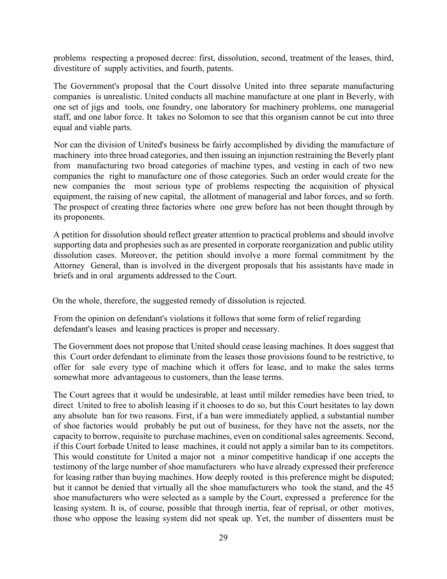problems respecting a proposed decree: first, dissolution, second, treatment of the leases, third, divestiture of supply activities, and fourth, patents.

The Government's proposal that the Court dissolve United into three separate manufacturing companies is unrealistic. United conducts all machine manufacture at one plant in Beverly, with one set of jigs and tools, one foundry, one laboratory for machinery problems, one managerial staff, and one labor force. It takes no Solomon to see that this organism cannot be cut into three equal and viable parts.

Nor can the division of United's business be fairly accomplished by dividing the manufacture of machinery into three broad categories, and then issuing an injunction restraining the Beverly plant from manufacturing two broad categories of machine types, and vesting in each of two new companies the right to manufacture one of those categories. Such an order would create for the new companies the most serious type of problems respecting the acquisition of physical equipment, the raising of new capital, the allotment of managerial and labor forces, and so forth. The prospect of creating three factories where one grew before has not been thought through by its proponents.

A petition for dissolution should reflect greater attention to practical problems and should involve supporting data and prophesies such as are presented in corporate reorganization and public utility dissolution cases. Moreover, the petition should involve a more formal commitment by the Attorney General, than is involved in the divergent proposals that his assistants have made in briefs and in oral arguments addressed to the Court.

On the whole, therefore, the suggested remedy of dissolution is rejected.

From the opinion on defendant's violations it follows that some form of relief regarding defendant's leases and leasing practices is proper and necessary.

The Government does not propose that United should cease leasing machines. It does suggest that this Court order defendant to eliminate from the leases those provisions found to be restrictive, to offer for sale every type of machine which it offers for lease, and to make the sales terms somewhat more advantageous to customers, than the lease terms.

The Court agrees that it would be undesirable, at least until milder remedies have been tried, to direct United to free to abolish leasing if it chooses to do so, but this Court hesitates to lay down any absolute ban for two reasons. First, if a ban were immediately applied, a substantial number of shoe factories would probably be put out of business, for they have not the assets, nor the capacity to borrow, requisite to purchase machines, even on conditional sales agreements. Second, if this Court forbade United to lease machines, it could not apply a similar ban to its competitors. This would constitute for United a major not a minor competitive handicap if one accepts the testimony of the large number of shoe manufacturers who have already expressed their preference for leasing rather than buying machines. How deeply rooted is this preference might be disputed; but it cannot be denied that virtually all the shoe manufacturers who took the stand, and the 45 shoe manufacturers who were selected as a sample by the Court, expressed a preference for the leasing system. It is, of course, possible that through inertia, fear of reprisal, or other motives, those who oppose the leasing system did not speak up. Yet, the number of dissenters must be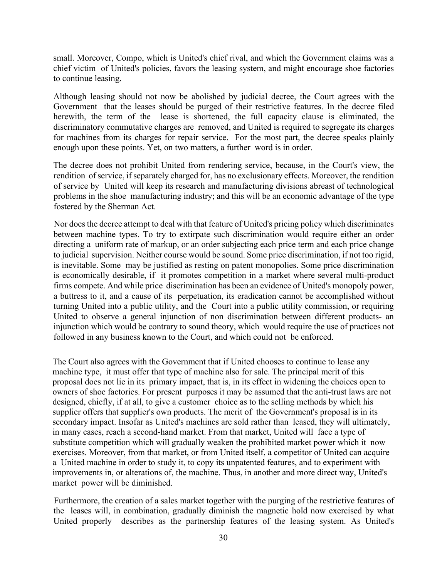small. Moreover, Compo, which is United's chief rival, and which the Government claims was a chief victim of United's policies, favors the leasing system, and might encourage shoe factories to continue leasing.

Although leasing should not now be abolished by judicial decree, the Court agrees with the Government that the leases should be purged of their restrictive features. In the decree filed herewith, the term of the lease is shortened, the full capacity clause is eliminated, the discriminatory commutative charges are removed, and United is required to segregate its charges for machines from its charges for repair service. For the most part, the decree speaks plainly enough upon these points. Yet, on two matters, a further word is in order.

The decree does not prohibit United from rendering service, because, in the Court's view, the rendition of service, if separately charged for, has no exclusionary effects. Moreover, the rendition of service by United will keep its research and manufacturing divisions abreast of technological problems in the shoe manufacturing industry; and this will be an economic advantage of the type fostered by the Sherman Act.

Nor does the decree attempt to deal with that feature of United's pricing policy which discriminates between machine types. To try to extirpate such discrimination would require either an order directing a uniform rate of markup, or an order subjecting each price term and each price change to judicial supervision. Neither course would be sound. Some price discrimination, if not too rigid, is inevitable. Some may be justified as resting on patent monopolies. Some price discrimination is economically desirable, if it promotes competition in a market where several multi-product firms compete. And while price discrimination has been an evidence of United's monopoly power, a buttress to it, and a cause of its perpetuation, its eradication cannot be accomplished without turning United into a public utility, and the Court into a public utility commission, or requiring United to observe a general injunction of non discrimination between different products- an injunction which would be contrary to sound theory, which would require the use of practices not followed in any business known to the Court, and which could not be enforced.

The Court also agrees with the Government that if United chooses to continue to lease any machine type, it must offer that type of machine also for sale. The principal merit of this proposal does not lie in its primary impact, that is, in its effect in widening the choices open to owners of shoe factories. For present purposes it may be assumed that the anti-trust laws are not designed, chiefly, if at all, to give a customer choice as to the selling methods by which his supplier offers that supplier's own products. The merit of the Government's proposal is in its secondary impact. Insofar as United's machines are sold rather than leased, they will ultimately, in many cases, reach a second-hand market. From that market, United will face a type of substitute competition which will gradually weaken the prohibited market power which it now exercises. Moreover, from that market, or from United itself, a competitor of United can acquire a United machine in order to study it, to copy its unpatented features, and to experiment with improvements in, or alterations of, the machine. Thus, in another and more direct way, United's market power will be diminished.

Furthermore, the creation of a sales market together with the purging of the restrictive features of the leases will, in combination, gradually diminish the magnetic hold now exercised by what United properly describes as the partnership features of the leasing system. As United's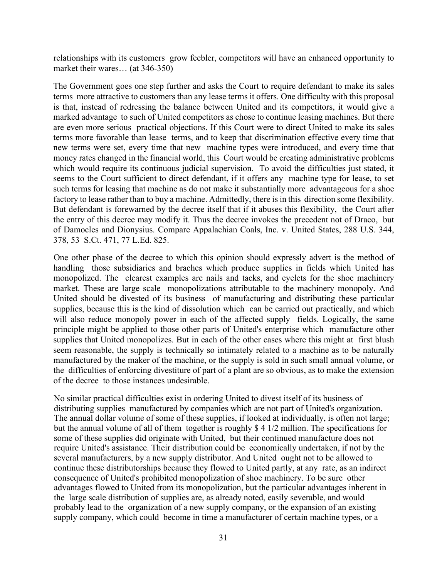relationships with its customers grow feebler, competitors will have an enhanced opportunity to market their wares... (at 346-350)

The Government goes one step further and asks the Court to require defendant to make its sales terms more attractive to customers than any lease terms it offers. One difficulty with this proposal is that, instead of redressing the balance between United and its competitors, it would give a marked advantage to such of United competitors as chose to continue leasing machines. But there are even more serious practical objections. If this Court were to direct United to make its sales terms more favorable than lease terms, and to keep that discrimination effective every time that new terms were set, every time that new machine types were introduced, and every time that money rates changed in the financial world, this Court would be creating administrative problems which would require its continuous judicial supervision. To avoid the difficulties just stated, it seems to the Court sufficient to direct defendant, if it offers any machine type for lease, to set such terms for leasing that machine as do not make it substantially more advantageous for a shoe factory to lease rather than to buy a machine. Admittedly, there is in this direction some flexibility. But defendant is forewarned by the decree itself that if it abuses this flexibility, the Court after the entry of this decree may modify it. Thus the decree invokes the precedent not of Draco, but of Damocles and Dionysius. Compare Appalachian Coals, Inc. v. United States, 288 U.S. 344, 378, 53 S.Ct. 471, 77 L.Ed. 825.

One other phase of the decree to which this opinion should expressly advert is the method of handling those subsidiaries and braches which produce supplies in fields which United has monopolized. The clearest examples are nails and tacks, and eyelets for the shoe machinery market. These are large scale monopolizations attributable to the machinery monopoly. And United should be divested of its business of manufacturing and distributing these particular supplies, because this is the kind of dissolution which can be carried out practically, and which will also reduce monopoly power in each of the affected supply fields. Logically, the same principle might be applied to those other parts of United's enterprise which manufacture other supplies that United monopolizes. But in each of the other cases where this might at first blush seem reasonable, the supply is technically so intimately related to a machine as to be naturally manufactured by the maker of the machine, or the supply is sold in such small annual volume, or the difficulties of enforcing divestiture of part of a plant are so obvious, as to make the extension of the decree to those instances undesirable.

No similar practical difficulties exist in ordering United to divest itself of its business of distributing supplies manufactured by companies which are not part of United's organization. The annual dollar volume of some of these supplies, if looked at individually, is often not large; but the annual volume of all of them together is roughly \$ 4 1/2 million. The specifications for some of these supplies did originate with United, but their continued manufacture does not require United's assistance. Their distribution could be economically undertaken, if not by the several manufacturers, by a new supply distributor. And United ought not to be allowed to continue these distributorships because they flowed to United partly, at any rate, as an indirect consequence of United's prohibited monopolization of shoe machinery. To be sure other advantages flowed to United from its monopolization, but the particular advantages inherent in the large scale distribution of supplies are, as already noted, easily severable, and would probably lead to the organization of a new supply company, or the expansion of an existing supply company, which could become in time a manufacturer of certain machine types, or a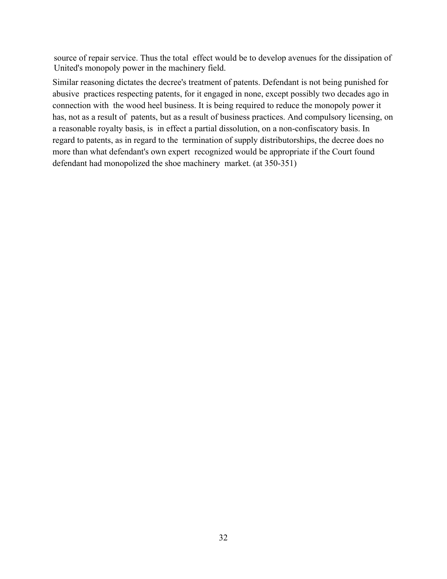source of repair service. Thus the total effect would be to develop avenues for the dissipation of United's monopoly power in the machinery field.

Similar reasoning dictates the decree's treatment of patents. Defendant is not being punished for abusive practices respecting patents, for it engaged in none, except possibly two decades ago in connection with the wood heel business. It is being required to reduce the monopoly power it has, not as a result of patents, but as a result of business practices. And compulsory licensing, on a reasonable royalty basis, is in effect a partial dissolution, on a non-confiscatory basis. In regard to patents, as in regard to the termination of supply distributorships, the decree does no more than what defendant's own expert recognized would be appropriate if the Court found defendant had monopolized the shoe machinery market. (at 350-351)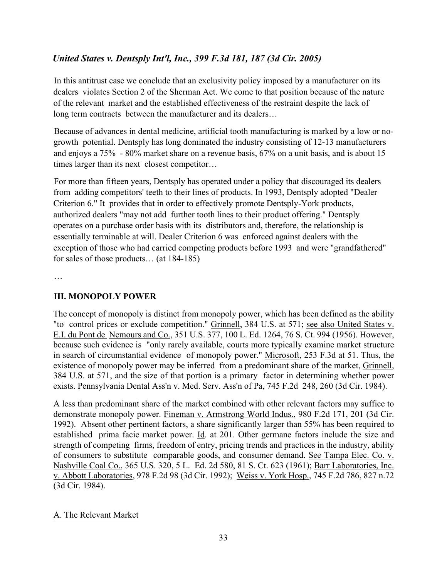# *United States v. Dentsply Int'l, Inc., 399 F.3d 181, 187 (3d Cir. 2005)*

In this antitrust case we conclude that an exclusivity policy imposed by a manufacturer on its dealers violates Section 2 of the Sherman Act. We come to that position because of the nature of the relevant market and the established effectiveness of the restraint despite the lack of long term contracts between the manufacturer and its dealers…

Because of advances in dental medicine, artificial tooth manufacturing is marked by a low or nogrowth potential. Dentsply has long dominated the industry consisting of 12-13 manufacturers and enjoys a 75% - 80% market share on a revenue basis, 67% on a unit basis, and is about 15 times larger than its next closest competitor…

For more than fifteen years, Dentsply has operated under a policy that discouraged its dealers from adding competitors' teeth to their lines of products. In 1993, Dentsply adopted "Dealer Criterion 6." It provides that in order to effectively promote Dentsply-York products, authorized dealers "may not add further tooth lines to their product offering." Dentsply operates on a purchase order basis with its distributors and, therefore, the relationship is essentially terminable at will. Dealer Criterion 6 was enforced against dealers with the exception of those who had carried competing products before 1993 and were "grandfathered" for sales of those products… (at 184-185)

…

# **III. MONOPOLY POWER**

The concept of monopoly is distinct from monopoly power, which has been defined as the ability "to control prices or exclude competition." Grinnell, 384 U.S. at 571; see also United States v. E.I. du Pont de Nemours and Co., 351 U.S. 377, 100 L. Ed. 1264, 76 S. Ct. 994 (1956). However, because such evidence is "only rarely available, courts more typically examine market structure in search of circumstantial evidence of monopoly power." Microsoft, 253 F.3d at 51. Thus, the existence of monopoly power may be inferred from a predominant share of the market, Grinnell, 384 U.S. at 571, and the size of that portion is a primary factor in determining whether power exists. Pennsylvania Dental Ass'n v. Med. Serv. Ass'n of Pa, 745 F.2d 248, 260 (3d Cir. 1984).

A less than predominant share of the market combined with other relevant factors may suffice to demonstrate monopoly power. Fineman v. Armstrong World Indus., 980 F.2d 171, 201 (3d Cir. 1992). Absent other pertinent factors, a share significantly larger than 55% has been required to established prima facie market power. Id. at 201. Other germane factors include the size and strength of competing firms, freedom of entry, pricing trends and practices in the industry, ability of consumers to substitute comparable goods, and consumer demand. See Tampa Elec. Co. v. Nashville Coal Co., 365 U.S. 320, 5 L. Ed. 2d 580, 81 S. Ct. 623 (1961); Barr Laboratories, Inc. v. Abbott Laboratories, 978 F.2d 98 (3d Cir. 1992); Weiss v. York Hosp., 745 F.2d 786, 827 n.72 (3d Cir. 1984).

## A. The Relevant Market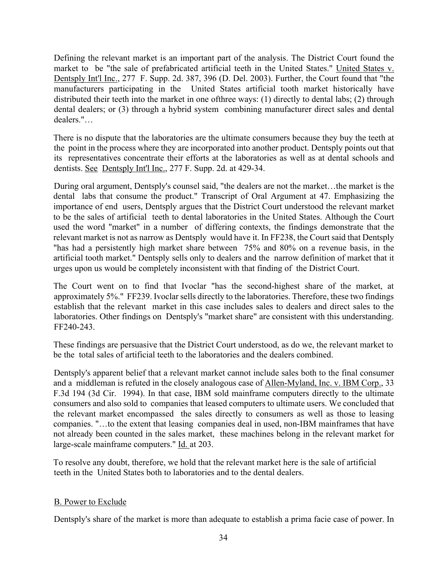Defining the relevant market is an important part of the analysis. The District Court found the market to be "the sale of prefabricated artificial teeth in the United States." United States v. Dentsply Int'l Inc., 277 F. Supp. 2d. 387, 396 (D. Del. 2003). Further, the Court found that "the manufacturers participating in the United States artificial tooth market historically have distributed their teeth into the market in one ofthree ways: (1) directly to dental labs; (2) through dental dealers; or (3) through a hybrid system combining manufacturer direct sales and dental dealers."…

There is no dispute that the laboratories are the ultimate consumers because they buy the teeth at the point in the process where they are incorporated into another product. Dentsply points out that its representatives concentrate their efforts at the laboratories as well as at dental schools and dentists. See Dentsply Int'l Inc., 277 F. Supp. 2d. at 429-34.

During oral argument, Dentsply's counsel said, "the dealers are not the market…the market is the dental labs that consume the product." Transcript of Oral Argument at 47. Emphasizing the importance of end users, Dentsply argues that the District Court understood the relevant market to be the sales of artificial teeth to dental laboratories in the United States. Although the Court used the word "market" in a number of differing contexts, the findings demonstrate that the relevant market is not as narrow as Dentsply would have it. In FF238, the Court said that Dentsply "has had a persistently high market share between 75% and 80% on a revenue basis, in the artificial tooth market." Dentsply sells only to dealers and the narrow definition of market that it urges upon us would be completely inconsistent with that finding of the District Court.

The Court went on to find that Ivoclar "has the second-highest share of the market, at approximately 5%." FF239. Ivoclar sells directly to the laboratories. Therefore, these two findings establish that the relevant market in this case includes sales to dealers and direct sales to the laboratories. Other findings on Dentsply's "market share" are consistent with this understanding. FF240-243.

These findings are persuasive that the District Court understood, as do we, the relevant market to be the total sales of artificial teeth to the laboratories and the dealers combined.

Dentsply's apparent belief that a relevant market cannot include sales both to the final consumer and a middleman is refuted in the closely analogous case of Allen-Myland, Inc. v. IBM Corp., 33 F.3d 194 (3d Cir. 1994). In that case, IBM sold mainframe computers directly to the ultimate consumers and also sold to companies that leased computers to ultimate users. We concluded that the relevant market encompassed the sales directly to consumers as well as those to leasing companies. "…to the extent that leasing companies deal in used, non-IBM mainframes that have not already been counted in the sales market, these machines belong in the relevant market for large-scale mainframe computers." Id. at 203.

To resolve any doubt, therefore, we hold that the relevant market here is the sale of artificial teeth in the United States both to laboratories and to the dental dealers.

## B. Power to Exclude

Dentsply's share of the market is more than adequate to establish a prima facie case of power. In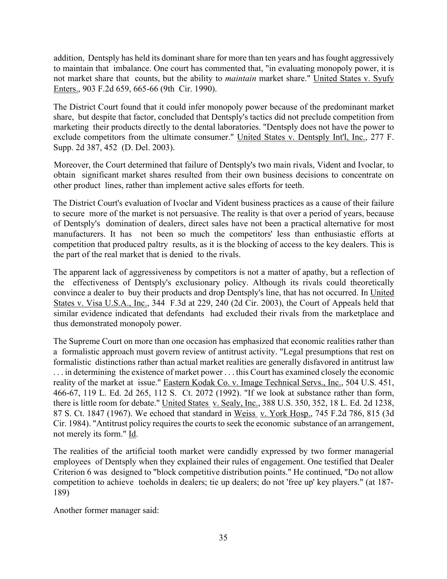addition, Dentsply has held its dominant share for more than ten years and has fought aggressively to maintain that imbalance. One court has commented that, "in evaluating monopoly power, it is not market share that counts, but the ability to *maintain* market share." United States v. Syufy Enters., 903 F.2d 659, 665-66 (9th Cir. 1990).

The District Court found that it could infer monopoly power because of the predominant market share, but despite that factor, concluded that Dentsply's tactics did not preclude competition from marketing their products directly to the dental laboratories. "Dentsply does not have the power to exclude competitors from the ultimate consumer." United States v. Dentsply Int'l, Inc., 277 F. Supp. 2d 387, 452 (D. Del. 2003).

Moreover, the Court determined that failure of Dentsply's two main rivals, Vident and Ivoclar, to obtain significant market shares resulted from their own business decisions to concentrate on other product lines, rather than implement active sales efforts for teeth.

The District Court's evaluation of Ivoclar and Vident business practices as a cause of their failure to secure more of the market is not persuasive. The reality is that over a period of years, because of Dentsply's domination of dealers, direct sales have not been a practical alternative for most manufacturers. It has not been so much the competitors' less than enthusiastic efforts at competition that produced paltry results, as it is the blocking of access to the key dealers. This is the part of the real market that is denied to the rivals.

The apparent lack of aggressiveness by competitors is not a matter of apathy, but a reflection of the effectiveness of Dentsply's exclusionary policy. Although its rivals could theoretically convince a dealer to buy their products and drop Dentsply's line, that has not occurred. In United States v. Visa U.S.A., Inc., 344 F.3d at 229, 240 (2d Cir. 2003), the Court of Appeals held that similar evidence indicated that defendants had excluded their rivals from the marketplace and thus demonstrated monopoly power.

The Supreme Court on more than one occasion has emphasized that economic realities rather than a formalistic approach must govern review of antitrust activity. "Legal presumptions that rest on formalistic distinctions rather than actual market realities are generally disfavored in antitrust law . . . in determining the existence of market power . . . this Court has examined closely the economic reality of the market at issue." Eastern Kodak Co. v. Image Technical Servs., Inc., 504 U.S. 451, 466-67, 119 L. Ed. 2d 265, 112 S. Ct. 2072 (1992). "If we look at substance rather than form, there is little room for debate." United States v. Sealy, Inc., 388 U.S. 350, 352, 18 L. Ed. 2d 1238, 87 S. Ct. 1847 (1967). We echoed that standard in Weiss v. York Hosp., 745 F.2d 786, 815 (3d Cir. 1984). "Antitrust policy requires the courts to seek the economic substance of an arrangement, not merely its form." Id.

The realities of the artificial tooth market were candidly expressed by two former managerial employees of Dentsply when they explained their rules of engagement. One testified that Dealer Criterion 6 was designed to "block competitive distribution points." He continued, "Do not allow competition to achieve toeholds in dealers; tie up dealers; do not 'free up' key players." (at 187- 189)

Another former manager said: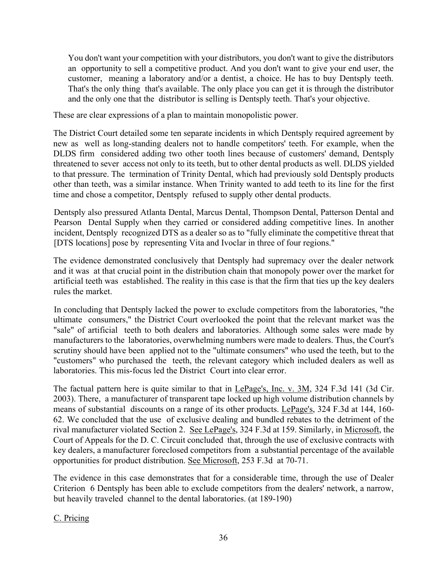You don't want your competition with your distributors, you don't want to give the distributors an opportunity to sell a competitive product. And you don't want to give your end user, the customer, meaning a laboratory and/or a dentist, a choice. He has to buy Dentsply teeth. That's the only thing that's available. The only place you can get it is through the distributor and the only one that the distributor is selling is Dentsply teeth. That's your objective.

These are clear expressions of a plan to maintain monopolistic power.

The District Court detailed some ten separate incidents in which Dentsply required agreement by new as well as long-standing dealers not to handle competitors' teeth. For example, when the DLDS firm considered adding two other tooth lines because of customers' demand, Dentsply threatened to sever access not only to its teeth, but to other dental products as well. DLDS yielded to that pressure. The termination of Trinity Dental, which had previously sold Dentsply products other than teeth, was a similar instance. When Trinity wanted to add teeth to its line for the first time and chose a competitor, Dentsply refused to supply other dental products.

Dentsply also pressured Atlanta Dental, Marcus Dental, Thompson Dental, Patterson Dental and Pearson Dental Supply when they carried or considered adding competitive lines. In another incident, Dentsply recognized DTS as a dealer so as to "fully eliminate the competitive threat that [DTS locations] pose by representing Vita and Ivoclar in three of four regions."

The evidence demonstrated conclusively that Dentsply had supremacy over the dealer network and it was at that crucial point in the distribution chain that monopoly power over the market for artificial teeth was established. The reality in this case is that the firm that ties up the key dealers rules the market.

In concluding that Dentsply lacked the power to exclude competitors from the laboratories, "the ultimate consumers," the District Court overlooked the point that the relevant market was the "sale" of artificial teeth to both dealers and laboratories. Although some sales were made by manufacturers to the laboratories, overwhelming numbers were made to dealers. Thus, the Court's scrutiny should have been applied not to the "ultimate consumers" who used the teeth, but to the "customers" who purchased the teeth, the relevant category which included dealers as well as laboratories. This mis-focus led the District Court into clear error.

The factual pattern here is quite similar to that in LePage's, Inc. v. 3M, 324 F.3d 141 (3d Cir. 2003). There, a manufacturer of transparent tape locked up high volume distribution channels by means of substantial discounts on a range of its other products. LePage's, 324 F.3d at 144, 160- 62. We concluded that the use of exclusive dealing and bundled rebates to the detriment of the rival manufacturer violated Section 2. See LePage's, 324 F.3d at 159. Similarly, in Microsoft, the Court of Appeals for the D. C. Circuit concluded that, through the use of exclusive contracts with key dealers, a manufacturer foreclosed competitors from a substantial percentage of the available opportunities for product distribution. See Microsoft, 253 F.3d at 70-71.

The evidence in this case demonstrates that for a considerable time, through the use of Dealer Criterion 6 Dentsply has been able to exclude competitors from the dealers' network, a narrow, but heavily traveled channel to the dental laboratories. (at 189-190)

C. Pricing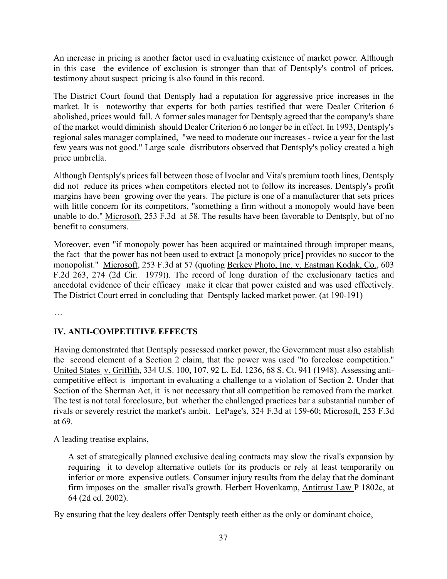An increase in pricing is another factor used in evaluating existence of market power. Although in this case the evidence of exclusion is stronger than that of Dentsply's control of prices, testimony about suspect pricing is also found in this record.

The District Court found that Dentsply had a reputation for aggressive price increases in the market. It is noteworthy that experts for both parties testified that were Dealer Criterion 6 abolished, prices would fall. A former sales manager for Dentsply agreed that the company's share of the market would diminish should Dealer Criterion 6 no longer be in effect. In 1993, Dentsply's regional sales manager complained, "we need to moderate our increases - twice a year for the last few years was not good." Large scale distributors observed that Dentsply's policy created a high price umbrella.

Although Dentsply's prices fall between those of Ivoclar and Vita's premium tooth lines, Dentsply did not reduce its prices when competitors elected not to follow its increases. Dentsply's profit margins have been growing over the years. The picture is one of a manufacturer that sets prices with little concern for its competitors, "something a firm without a monopoly would have been unable to do." Microsoft, 253 F.3d at 58. The results have been favorable to Dentsply, but of no benefit to consumers.

Moreover, even "if monopoly power has been acquired or maintained through improper means, the fact that the power has not been used to extract [a monopoly price] provides no succor to the monopolist." Microsoft, 253 F.3d at 57 (quoting Berkey Photo, Inc. v. Eastman Kodak, Co., 603 F.2d 263, 274 (2d Cir. 1979)). The record of long duration of the exclusionary tactics and anecdotal evidence of their efficacy make it clear that power existed and was used effectively. The District Court erred in concluding that Dentsply lacked market power. (at 190-191)

…

# **IV. ANTI-COMPETITIVE EFFECTS**

Having demonstrated that Dentsply possessed market power, the Government must also establish the second element of a Section 2 claim, that the power was used "to foreclose competition." United States v. Griffith, 334 U.S. 100, 107, 92 L. Ed. 1236, 68 S. Ct. 941 (1948). Assessing anticompetitive effect is important in evaluating a challenge to a violation of Section 2. Under that Section of the Sherman Act, it is not necessary that all competition be removed from the market. The test is not total foreclosure, but whether the challenged practices bar a substantial number of rivals or severely restrict the market's ambit. LePage's, 324 F.3d at 159-60; Microsoft, 253 F.3d at 69.

A leading treatise explains,

A set of strategically planned exclusive dealing contracts may slow the rival's expansion by requiring it to develop alternative outlets for its products or rely at least temporarily on inferior or more expensive outlets. Consumer injury results from the delay that the dominant firm imposes on the smaller rival's growth. Herbert Hovenkamp, Antitrust Law P 1802c, at 64 (2d ed. 2002).

By ensuring that the key dealers offer Dentsply teeth either as the only or dominant choice,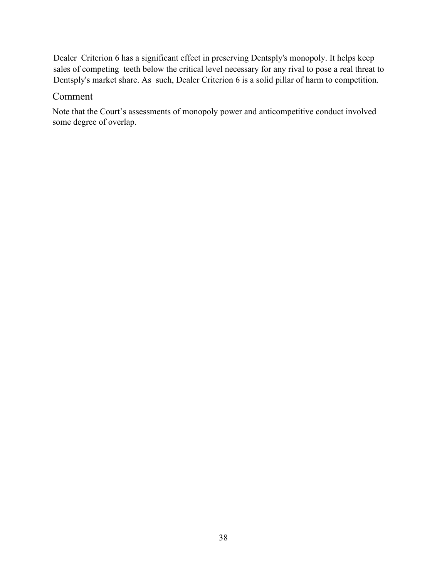Dealer Criterion 6 has a significant effect in preserving Dentsply's monopoly. It helps keep sales of competing teeth below the critical level necessary for any rival to pose a real threat to Dentsply's market share. As such, Dealer Criterion 6 is a solid pillar of harm to competition.

# Comment

Note that the Court's assessments of monopoly power and anticompetitive conduct involved some degree of overlap.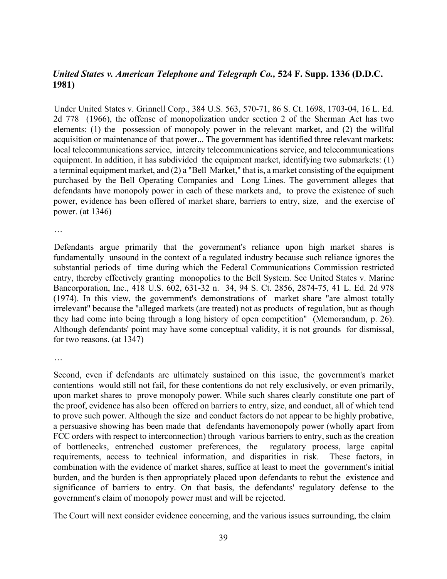# *United States v. American Telephone and Telegraph Co., 524 F. Supp. 1336 (D.D.C.* **1981)**

Under United States v. Grinnell Corp., 384 U.S. 563, 570-71, 86 S. Ct. 1698, 1703-04, 16 L. Ed. 2d 778 (1966), the offense of monopolization under section 2 of the Sherman Act has two elements: (1) the possession of monopoly power in the relevant market, and (2) the willful acquisition or maintenance of that power... The government has identified three relevant markets: local telecommunications service, intercity telecommunications service, and telecommunications equipment. In addition, it has subdivided the equipment market, identifying two submarkets: (1) a terminal equipment market, and (2) a "Bell Market," that is, a market consisting of the equipment purchased by the Bell Operating Companies and Long Lines. The government alleges that defendants have monopoly power in each of these markets and, to prove the existence of such power, evidence has been offered of market share, barriers to entry, size, and the exercise of power. (at 1346)

…

Defendants argue primarily that the government's reliance upon high market shares is fundamentally unsound in the context of a regulated industry because such reliance ignores the substantial periods of time during which the Federal Communications Commission restricted entry, thereby effectively granting monopolies to the Bell System. See United States v. Marine Bancorporation, Inc., 418 U.S. 602, 631-32 n. 34, 94 S. Ct. 2856, 2874-75, 41 L. Ed. 2d 978 (1974). In this view, the government's demonstrations of market share "are almost totally irrelevant" because the "alleged markets (are treated) not as products of regulation, but as though they had come into being through a long history of open competition" (Memorandum, p. 26). Although defendants' point may have some conceptual validity, it is not grounds for dismissal, for two reasons. (at 1347)

…

Second, even if defendants are ultimately sustained on this issue, the government's market contentions would still not fail, for these contentions do not rely exclusively, or even primarily, upon market shares to prove monopoly power. While such shares clearly constitute one part of the proof, evidence has also been offered on barriers to entry, size, and conduct, all of which tend to prove such power. Although the size and conduct factors do not appear to be highly probative, a persuasive showing has been made that defendants havemonopoly power (wholly apart from FCC orders with respect to interconnection) through various barriers to entry, such as the creation of bottlenecks, entrenched customer preferences, the regulatory process, large capital requirements, access to technical information, and disparities in risk. These factors, in combination with the evidence of market shares, suffice at least to meet the government's initial burden, and the burden is then appropriately placed upon defendants to rebut the existence and significance of barriers to entry. On that basis, the defendants' regulatory defense to the government's claim of monopoly power must and will be rejected.

The Court will next consider evidence concerning, and the various issues surrounding, the claim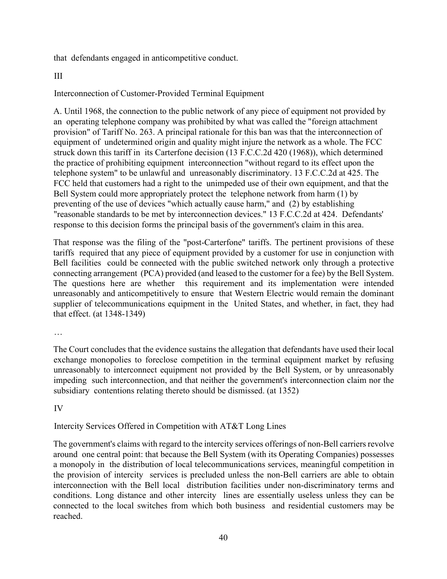that defendants engaged in anticompetitive conduct.

III

# Interconnection of Customer-Provided Terminal Equipment

A. Until 1968, the connection to the public network of any piece of equipment not provided by an operating telephone company was prohibited by what was called the "foreign attachment provision" of Tariff No. 263. A principal rationale for this ban was that the interconnection of equipment of undetermined origin and quality might injure the network as a whole. The FCC struck down this tariff in its Carterfone decision (13 F.C.C.2d 420 (1968)), which determined the practice of prohibiting equipment interconnection "without regard to its effect upon the telephone system" to be unlawful and unreasonably discriminatory. 13 F.C.C.2d at 425. The FCC held that customers had a right to the unimpeded use of their own equipment, and that the Bell System could more appropriately protect the telephone network from harm (1) by preventing of the use of devices "which actually cause harm," and (2) by establishing "reasonable standards to be met by interconnection devices." 13 F.C.C.2d at 424. Defendants' response to this decision forms the principal basis of the government's claim in this area.

That response was the filing of the "post-Carterfone" tariffs. The pertinent provisions of these tariffs required that any piece of equipment provided by a customer for use in conjunction with Bell facilities could be connected with the public switched network only through a protective connecting arrangement (PCA) provided (and leased to the customer for a fee) by the Bell System. The questions here are whether this requirement and its implementation were intended unreasonably and anticompetitively to ensure that Western Electric would remain the dominant supplier of telecommunications equipment in the United States, and whether, in fact, they had that effect. (at 1348-1349)

…

The Court concludes that the evidence sustains the allegation that defendants have used their local exchange monopolies to foreclose competition in the terminal equipment market by refusing unreasonably to interconnect equipment not provided by the Bell System, or by unreasonably impeding such interconnection, and that neither the government's interconnection claim nor the subsidiary contentions relating thereto should be dismissed. (at 1352)

IV

## Intercity Services Offered in Competition with AT&T Long Lines

The government's claims with regard to the intercity services offerings of non-Bell carriers revolve around one central point: that because the Bell System (with its Operating Companies) possesses a monopoly in the distribution of local telecommunications services, meaningful competition in the provision of intercity services is precluded unless the non-Bell carriers are able to obtain interconnection with the Bell local distribution facilities under non-discriminatory terms and conditions. Long distance and other intercity lines are essentially useless unless they can be connected to the local switches from which both business and residential customers may be reached.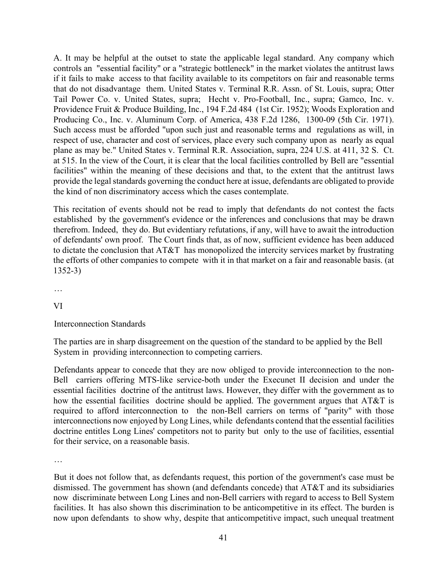A. It may be helpful at the outset to state the applicable legal standard. Any company which controls an "essential facility" or a "strategic bottleneck" in the market violates the antitrust laws if it fails to make access to that facility available to its competitors on fair and reasonable terms that do not disadvantage them. United States v. Terminal R.R. Assn. of St. Louis, supra; Otter Tail Power Co. v. United States, supra; Hecht v. Pro-Football, Inc., supra; Gamco, Inc. v. Providence Fruit & Produce Building, Inc., 194 F.2d 484 (1st Cir. 1952); Woods Exploration and Producing Co., Inc. v. Aluminum Corp. of America, 438 F.2d 1286, 1300-09 (5th Cir. 1971). Such access must be afforded "upon such just and reasonable terms and regulations as will, in respect of use, character and cost of services, place every such company upon as nearly as equal plane as may be." United States v. Terminal R.R. Association, supra, 224 U.S. at 411, 32 S. Ct. at 515. In the view of the Court, it is clear that the local facilities controlled by Bell are "essential facilities" within the meaning of these decisions and that, to the extent that the antitrust laws provide the legal standards governing the conduct here at issue, defendants are obligated to provide the kind of non discriminatory access which the cases contemplate.

This recitation of events should not be read to imply that defendants do not contest the facts established by the government's evidence or the inferences and conclusions that may be drawn therefrom. Indeed, they do. But evidentiary refutations, if any, will have to await the introduction of defendants' own proof. The Court finds that, as of now, sufficient evidence has been adduced to dictate the conclusion that AT&T has monopolized the intercity services market by frustrating the efforts of other companies to compete with it in that market on a fair and reasonable basis. (at 1352-3)

…

VI

### Interconnection Standards

The parties are in sharp disagreement on the question of the standard to be applied by the Bell System in providing interconnection to competing carriers.

Defendants appear to concede that they are now obliged to provide interconnection to the non-Bell carriers offering MTS-like service-both under the Execunet II decision and under the essential facilities doctrine of the antitrust laws. However, they differ with the government as to how the essential facilities doctrine should be applied. The government argues that AT&T is required to afford interconnection to the non-Bell carriers on terms of "parity" with those interconnections now enjoyed by Long Lines, while defendants contend that the essential facilities doctrine entitles Long Lines' competitors not to parity but only to the use of facilities, essential for their service, on a reasonable basis.

…

But it does not follow that, as defendants request, this portion of the government's case must be dismissed. The government has shown (and defendants concede) that AT&T and its subsidiaries now discriminate between Long Lines and non-Bell carriers with regard to access to Bell System facilities. It has also shown this discrimination to be anticompetitive in its effect. The burden is now upon defendants to show why, despite that anticompetitive impact, such unequal treatment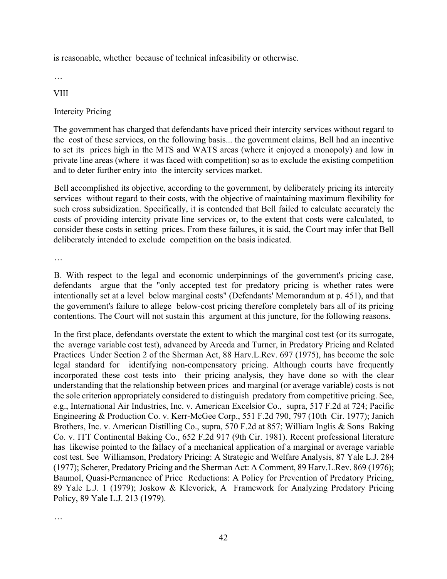is reasonable, whether because of technical infeasibility or otherwise.

…

#### VIII

Intercity Pricing

The government has charged that defendants have priced their intercity services without regard to the cost of these services, on the following basis... the government claims, Bell had an incentive to set its prices high in the MTS and WATS areas (where it enjoyed a monopoly) and low in private line areas (where it was faced with competition) so as to exclude the existing competition and to deter further entry into the intercity services market.

Bell accomplished its objective, according to the government, by deliberately pricing its intercity services without regard to their costs, with the objective of maintaining maximum flexibility for such cross subsidization. Specifically, it is contended that Bell failed to calculate accurately the costs of providing intercity private line services or, to the extent that costs were calculated, to consider these costs in setting prices. From these failures, it is said, the Court may infer that Bell deliberately intended to exclude competition on the basis indicated.

…

…

B. With respect to the legal and economic underpinnings of the government's pricing case, defendants argue that the "only accepted test for predatory pricing is whether rates were intentionally set at a level below marginal costs" (Defendants' Memorandum at p. 451), and that the government's failure to allege below-cost pricing therefore completely bars all of its pricing contentions. The Court will not sustain this argument at this juncture, for the following reasons.

In the first place, defendants overstate the extent to which the marginal cost test (or its surrogate, the average variable cost test), advanced by Areeda and Turner, in Predatory Pricing and Related Practices Under Section 2 of the Sherman Act, 88 Harv.L.Rev. 697 (1975), has become the sole legal standard for identifying non-compensatory pricing. Although courts have frequently incorporated these cost tests into their pricing analysis, they have done so with the clear understanding that the relationship between prices and marginal (or average variable) costs is not the sole criterion appropriately considered to distinguish predatory from competitive pricing. See, e.g., International Air Industries, Inc. v. American Excelsior Co., supra, 517 F.2d at 724; Pacific Engineering & Production Co. v. Kerr-McGee Corp., 551 F.2d 790, 797 (10th Cir. 1977); Janich Brothers, Inc. v. American Distilling Co., supra, 570 F.2d at 857; William Inglis & Sons Baking Co. v. ITT Continental Baking Co., 652 F.2d 917 (9th Cir. 1981). Recent professional literature has likewise pointed to the fallacy of a mechanical application of a marginal or average variable cost test. See Williamson, Predatory Pricing: A Strategic and Welfare Analysis, 87 Yale L.J. 284 (1977); Scherer, Predatory Pricing and the Sherman Act: A Comment, 89 Harv.L.Rev. 869 (1976); Baumol, Quasi-Permanence of Price Reductions: A Policy for Prevention of Predatory Pricing, 89 Yale L.J. 1 (1979); Joskow & Klevorick, A Framework for Analyzing Predatory Pricing Policy, 89 Yale L.J. 213 (1979).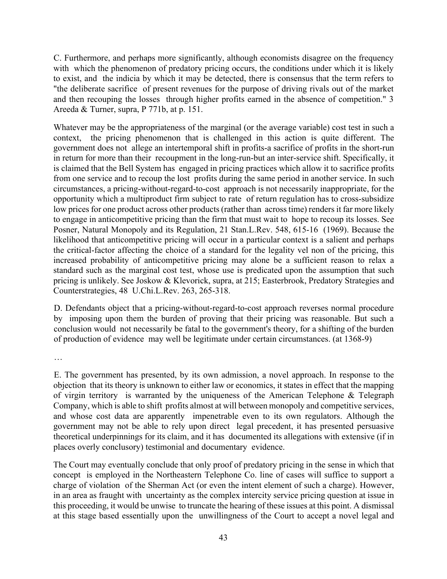C. Furthermore, and perhaps more significantly, although economists disagree on the frequency with which the phenomenon of predatory pricing occurs, the conditions under which it is likely to exist, and the indicia by which it may be detected, there is consensus that the term refers to "the deliberate sacrifice of present revenues for the purpose of driving rivals out of the market and then recouping the losses through higher profits earned in the absence of competition." 3 Areeda & Turner, supra, P 771b, at p. 151.

Whatever may be the appropriateness of the marginal (or the average variable) cost test in such a context, the pricing phenomenon that is challenged in this action is quite different. The government does not allege an intertemporal shift in profits-a sacrifice of profits in the short-run in return for more than their recoupment in the long-run-but an inter-service shift. Specifically, it is claimed that the Bell System has engaged in pricing practices which allow it to sacrifice profits from one service and to recoup the lost profits during the same period in another service. In such circumstances, a pricing-without-regard-to-cost approach is not necessarily inappropriate, for the opportunity which a multiproduct firm subject to rate of return regulation has to cross-subsidize low prices for one product across other products (rather than across time) renders it far more likely to engage in anticompetitive pricing than the firm that must wait to hope to recoup its losses. See Posner, Natural Monopoly and its Regulation, 21 Stan.L.Rev. 548, 615-16 (1969). Because the likelihood that anticompetitive pricing will occur in a particular context is a salient and perhaps the critical-factor affecting the choice of a standard for the legality vel non of the pricing, this increased probability of anticompetitive pricing may alone be a sufficient reason to relax a standard such as the marginal cost test, whose use is predicated upon the assumption that such pricing is unlikely. See Joskow & Klevorick, supra, at 215; Easterbrook, Predatory Strategies and Counterstrategies, 48 U.Chi.L.Rev. 263, 265-318.

D. Defendants object that a pricing-without-regard-to-cost approach reverses normal procedure by imposing upon them the burden of proving that their pricing was reasonable. But such a conclusion would not necessarily be fatal to the government's theory, for a shifting of the burden of production of evidence may well be legitimate under certain circumstances. (at 1368-9)

…

E. The government has presented, by its own admission, a novel approach. In response to the objection that its theory is unknown to either law or economics, it states in effect that the mapping of virgin territory is warranted by the uniqueness of the American Telephone & Telegraph Company, which is able to shift profits almost at will between monopoly and competitive services, and whose cost data are apparently impenetrable even to its own regulators. Although the government may not be able to rely upon direct legal precedent, it has presented persuasive theoretical underpinnings for its claim, and it has documented its allegations with extensive (if in places overly conclusory) testimonial and documentary evidence.

The Court may eventually conclude that only proof of predatory pricing in the sense in which that concept is employed in the Northeastern Telephone Co. line of cases will suffice to support a charge of violation of the Sherman Act (or even the intent element of such a charge). However, in an area as fraught with uncertainty as the complex intercity service pricing question at issue in this proceeding, it would be unwise to truncate the hearing of these issues at this point. A dismissal at this stage based essentially upon the unwillingness of the Court to accept a novel legal and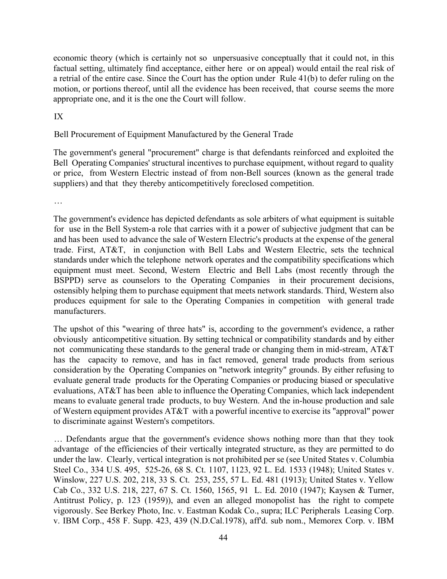economic theory (which is certainly not so unpersuasive conceptually that it could not, in this factual setting, ultimately find acceptance, either here or on appeal) would entail the real risk of a retrial of the entire case. Since the Court has the option under Rule 41(b) to defer ruling on the motion, or portions thereof, until all the evidence has been received, that course seems the more appropriate one, and it is the one the Court will follow.

IX

Bell Procurement of Equipment Manufactured by the General Trade

The government's general "procurement" charge is that defendants reinforced and exploited the Bell Operating Companies' structural incentives to purchase equipment, without regard to quality or price, from Western Electric instead of from non-Bell sources (known as the general trade suppliers) and that they thereby anticompetitively foreclosed competition.

…

The government's evidence has depicted defendants as sole arbiters of what equipment is suitable for use in the Bell System-a role that carries with it a power of subjective judgment that can be and has been used to advance the sale of Western Electric's products at the expense of the general trade. First, AT&T, in conjunction with Bell Labs and Western Electric, sets the technical standards under which the telephone network operates and the compatibility specifications which equipment must meet. Second, Western Electric and Bell Labs (most recently through the BSPPD) serve as counselors to the Operating Companies in their procurement decisions, ostensibly helping them to purchase equipment that meets network standards. Third, Western also produces equipment for sale to the Operating Companies in competition with general trade manufacturers.

The upshot of this "wearing of three hats" is, according to the government's evidence, a rather obviously anticompetitive situation. By setting technical or compatibility standards and by either not communicating these standards to the general trade or changing them in mid-stream, AT&T has the capacity to remove, and has in fact removed, general trade products from serious consideration by the Operating Companies on "network integrity" grounds. By either refusing to evaluate general trade products for the Operating Companies or producing biased or speculative evaluations, AT&T has been able to influence the Operating Companies, which lack independent means to evaluate general trade products, to buy Western. And the in-house production and sale of Western equipment provides AT&T with a powerful incentive to exercise its "approval" power to discriminate against Western's competitors.

… Defendants argue that the government's evidence shows nothing more than that they took advantage of the efficiencies of their vertically integrated structure, as they are permitted to do under the law. Clearly, vertical integration is not prohibited per se (see United States v. Columbia Steel Co., 334 U.S. 495, 525-26, 68 S. Ct. 1107, 1123, 92 L. Ed. 1533 (1948); United States v. Winslow, 227 U.S. 202, 218, 33 S. Ct. 253, 255, 57 L. Ed. 481 (1913); United States v. Yellow Cab Co., 332 U.S. 218, 227, 67 S. Ct. 1560, 1565, 91 L. Ed. 2010 (1947); Kaysen & Turner, Antitrust Policy, p. 123 (1959)), and even an alleged monopolist has the right to compete vigorously. See Berkey Photo, Inc. v. Eastman Kodak Co., supra; ILC Peripherals Leasing Corp. v. IBM Corp., 458 F. Supp. 423, 439 (N.D.Cal.1978), aff'd. sub nom., Memorex Corp. v. IBM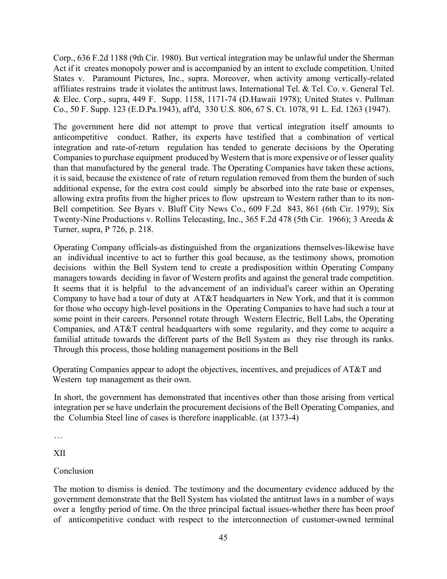Corp., 636 F.2d 1188 (9th Cir. 1980). But vertical integration may be unlawful under the Sherman Act if it creates monopoly power and is accompanied by an intent to exclude competition. United States v. Paramount Pictures, Inc., supra. Moreover, when activity among vertically-related affiliates restrains trade it violates the antitrust laws. International Tel. & Tel. Co. v. General Tel. & Elec. Corp., supra, 449 F. Supp. 1158, 1171-74 (D.Hawaii 1978); United States v. Pullman Co., 50 F. Supp. 123 (E.D.Pa.1943), aff'd, 330 U.S. 806, 67 S. Ct. 1078, 91 L. Ed. 1263 (1947).

The government here did not attempt to prove that vertical integration itself amounts to anticompetitive conduct. Rather, its experts have testified that a combination of vertical integration and rate-of-return regulation has tended to generate decisions by the Operating Companies to purchase equipment produced by Western that is more expensive or of lesser quality than that manufactured by the general trade. The Operating Companies have taken these actions, it is said, because the existence of rate of return regulation removed from them the burden of such additional expense, for the extra cost could simply be absorbed into the rate base or expenses, allowing extra profits from the higher prices to flow upstream to Western rather than to its non-Bell competition. See Byars v. Bluff City News Co., 609 F.2d 843, 861 (6th Cir. 1979); Six Twenty-Nine Productions v. Rollins Telecasting, Inc., 365 F.2d 478 (5th Cir. 1966); 3 Areeda & Turner, supra, P 726, p. 218.

Operating Company officials-as distinguished from the organizations themselves-likewise have an individual incentive to act to further this goal because, as the testimony shows, promotion decisions within the Bell System tend to create a predisposition within Operating Company managers towards deciding in favor of Western profits and against the general trade competition. It seems that it is helpful to the advancement of an individual's career within an Operating Company to have had a tour of duty at AT&T headquarters in New York, and that it is common for those who occupy high-level positions in the Operating Companies to have had such a tour at some point in their careers. Personnel rotate through Western Electric, Bell Labs, the Operating Companies, and AT&T central headquarters with some regularity, and they come to acquire a familial attitude towards the different parts of the Bell System as they rise through its ranks. Through this process, those holding management positions in the Bell

Operating Companies appear to adopt the objectives, incentives, and prejudices of AT&T and Western top management as their own.

In short, the government has demonstrated that incentives other than those arising from vertical integration per se have underlain the procurement decisions of the Bell Operating Companies, and the Columbia Steel line of cases is therefore inapplicable. (at 1373-4)

…

XII

Conclusion

The motion to dismiss is denied. The testimony and the documentary evidence adduced by the government demonstrate that the Bell System has violated the antitrust laws in a number of ways over a lengthy period of time. On the three principal factual issues-whether there has been proof of anticompetitive conduct with respect to the interconnection of customer-owned terminal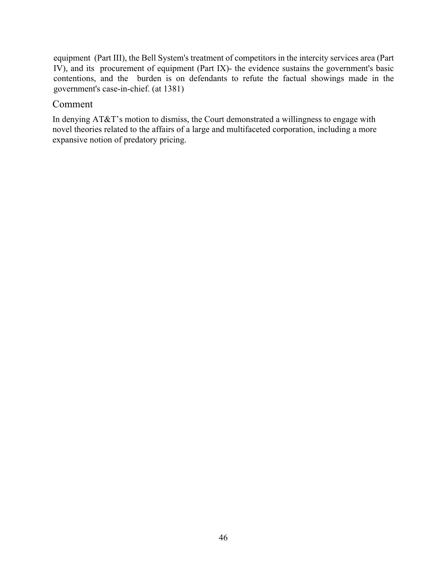equipment (Part III), the Bell System's treatment of competitors in the intercity services area (Part IV), and its procurement of equipment (Part IX)- the evidence sustains the government's basic contentions, and the burden is on defendants to refute the factual showings made in the government's case-in-chief. (at 1381)

## Comment

In denying AT&T's motion to dismiss, the Court demonstrated a willingness to engage with novel theories related to the affairs of a large and multifaceted corporation, including a more expansive notion of predatory pricing.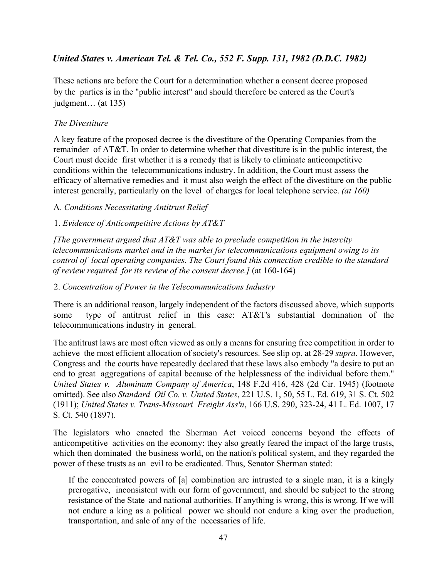# *United States v. American Tel. & Tel. Co., 552 F. Supp. 131, 1982 (D.D.C. 1982)*

These actions are before the Court for a determination whether a consent decree proposed by the parties is in the "public interest" and should therefore be entered as the Court's judgment… (at 135)

## *The Divestiture*

A key feature of the proposed decree is the divestiture of the Operating Companies from the remainder of AT&T. In order to determine whether that divestiture is in the public interest, the Court must decide first whether it is a remedy that is likely to eliminate anticompetitive conditions within the telecommunications industry. In addition, the Court must assess the efficacy of alternative remedies and it must also weigh the effect of the divestiture on the public interest generally, particularly on the level of charges for local telephone service. *(at 160)* 

A. *Conditions Necessitating Antitrust Relief* 

## 1. *Evidence of Anticompetitive Actions by AT&T*

*[The government argued that AT&T was able to preclude competition in the intercity telecommunications market and in the market for telecommunications equipment owing to its control of local operating companies. The Court found this connection credible to the standard of review required for its review of the consent decree.]* (at 160-164)

## 2. *Concentration of Power in the Telecommunications Industry*

There is an additional reason, largely independent of the factors discussed above, which supports some type of antitrust relief in this case: AT&T's substantial domination of the telecommunications industry in general.

The antitrust laws are most often viewed as only a means for ensuring free competition in order to achieve the most efficient allocation of society's resources. See slip op. at 28-29 *supra*. However, Congress and the courts have repeatedly declared that these laws also embody "a desire to put an end to great aggregations of capital because of the helplessness of the individual before them." *United States v. Aluminum Company of America*, 148 F.2d 416, 428 (2d Cir. 1945) (footnote omitted). See also *Standard Oil Co. v. United States*, 221 U.S. 1, 50, 55 L. Ed. 619, 31 S. Ct. 502 (1911); *United States v. Trans-Missouri Freight Ass'n*, 166 U.S. 290, 323-24, 41 L. Ed. 1007, 17 S. Ct. 540 (1897).

The legislators who enacted the Sherman Act voiced concerns beyond the effects of anticompetitive activities on the economy: they also greatly feared the impact of the large trusts, which then dominated the business world, on the nation's political system, and they regarded the power of these trusts as an evil to be eradicated. Thus, Senator Sherman stated:

If the concentrated powers of [a] combination are intrusted to a single man, it is a kingly prerogative, inconsistent with our form of government, and should be subject to the strong resistance of the State and national authorities. If anything is wrong, this is wrong. If we will not endure a king as a political power we should not endure a king over the production, transportation, and sale of any of the necessaries of life.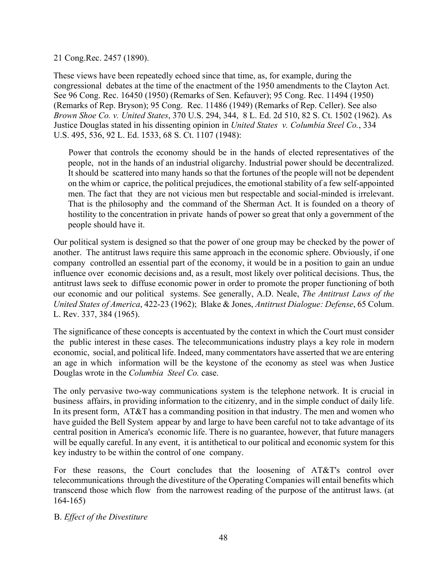21 Cong.Rec. 2457 (1890).

These views have been repeatedly echoed since that time, as, for example, during the congressional debates at the time of the enactment of the 1950 amendments to the Clayton Act. See 96 Cong. Rec. 16450 (1950) (Remarks of Sen. Kefauver); 95 Cong. Rec. 11494 (1950) (Remarks of Rep. Bryson); 95 Cong. Rec. 11486 (1949) (Remarks of Rep. Celler). See also *Brown Shoe Co. v. United States*, 370 U.S. 294, 344, 8 L. Ed. 2d 510, 82 S. Ct. 1502 (1962). As Justice Douglas stated in his dissenting opinion in *United States v. Columbia Steel Co.*, 334 U.S. 495, 536, 92 L. Ed. 1533, 68 S. Ct. 1107 (1948):

Power that controls the economy should be in the hands of elected representatives of the people, not in the hands of an industrial oligarchy. Industrial power should be decentralized. It should be scattered into many hands so that the fortunes of the people will not be dependent on the whim or caprice, the political prejudices, the emotional stability of a few self-appointed men. The fact that they are not vicious men but respectable and social-minded is irrelevant. That is the philosophy and the command of the Sherman Act. It is founded on a theory of hostility to the concentration in private hands of power so great that only a government of the people should have it.

Our political system is designed so that the power of one group may be checked by the power of another. The antitrust laws require this same approach in the economic sphere. Obviously, if one company controlled an essential part of the economy, it would be in a position to gain an undue influence over economic decisions and, as a result, most likely over political decisions. Thus, the antitrust laws seek to diffuse economic power in order to promote the proper functioning of both our economic and our political systems. See generally, A.D. Neale, *The Antitrust Laws of the United States of America*, 422-23 (1962); Blake & Jones, *Antitrust Dialogue: Defense*, 65 Colum. L. Rev. 337, 384 (1965).

The significance of these concepts is accentuated by the context in which the Court must consider the public interest in these cases. The telecommunications industry plays a key role in modern economic, social, and political life. Indeed, many commentators have asserted that we are entering an age in which information will be the keystone of the economy as steel was when Justice Douglas wrote in the *Columbia Steel Co.* case.

The only pervasive two-way communications system is the telephone network. It is crucial in business affairs, in providing information to the citizenry, and in the simple conduct of daily life. In its present form, AT&T has a commanding position in that industry. The men and women who have guided the Bell System appear by and large to have been careful not to take advantage of its central position in America's economic life. There is no guarantee, however, that future managers will be equally careful. In any event, it is antithetical to our political and economic system for this key industry to be within the control of one company.

For these reasons, the Court concludes that the loosening of AT&T's control over telecommunications through the divestiture of the Operating Companies will entail benefits which transcend those which flow from the narrowest reading of the purpose of the antitrust laws. (at 164-165)

B. *Effect of the Divestiture*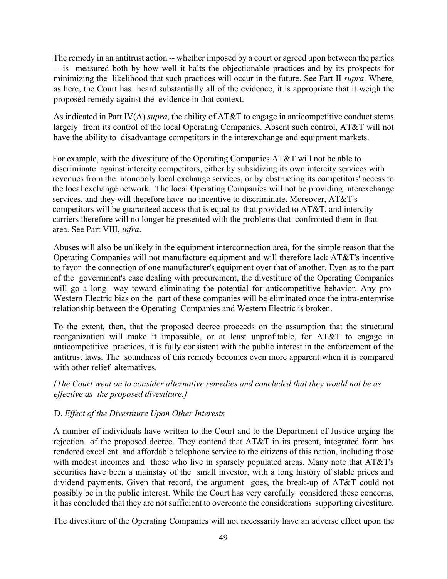The remedy in an antitrust action -- whether imposed by a court or agreed upon between the parties -- is measured both by how well it halts the objectionable practices and by its prospects for minimizing the likelihood that such practices will occur in the future. See Part II *supra*. Where, as here, the Court has heard substantially all of the evidence, it is appropriate that it weigh the proposed remedy against the evidence in that context.

As indicated in Part IV(A) *supra*, the ability of AT&T to engage in anticompetitive conduct stems largely from its control of the local Operating Companies. Absent such control, AT&T will not have the ability to disadvantage competitors in the interexchange and equipment markets.

For example, with the divestiture of the Operating Companies AT&T will not be able to discriminate against intercity competitors, either by subsidizing its own intercity services with revenues from the monopoly local exchange services, or by obstructing its competitors' access to the local exchange network. The local Operating Companies will not be providing interexchange services, and they will therefore have no incentive to discriminate. Moreover, AT&T's competitors will be guaranteed access that is equal to that provided to AT&T, and intercity carriers therefore will no longer be presented with the problems that confronted them in that area. See Part VIII, *infra*.

Abuses will also be unlikely in the equipment interconnection area, for the simple reason that the Operating Companies will not manufacture equipment and will therefore lack AT&T's incentive to favor the connection of one manufacturer's equipment over that of another. Even as to the part of the government's case dealing with procurement, the divestiture of the Operating Companies will go a long way toward eliminating the potential for anticompetitive behavior. Any pro-Western Electric bias on the part of these companies will be eliminated once the intra-enterprise relationship between the Operating Companies and Western Electric is broken.

To the extent, then, that the proposed decree proceeds on the assumption that the structural reorganization will make it impossible, or at least unprofitable, for AT&T to engage in anticompetitive practices, it is fully consistent with the public interest in the enforcement of the antitrust laws. The soundness of this remedy becomes even more apparent when it is compared with other relief alternatives.

*[The Court went on to consider alternative remedies and concluded that they would not be as effective as the proposed divestiture.]* 

## D. *Effect of the Divestiture Upon Other Interests*

A number of individuals have written to the Court and to the Department of Justice urging the rejection of the proposed decree. They contend that AT&T in its present, integrated form has rendered excellent and affordable telephone service to the citizens of this nation, including those with modest incomes and those who live in sparsely populated areas. Many note that AT&T's securities have been a mainstay of the small investor, with a long history of stable prices and dividend payments. Given that record, the argument goes, the break-up of AT&T could not possibly be in the public interest. While the Court has very carefully considered these concerns, it has concluded that they are not sufficient to overcome the considerations supporting divestiture.

The divestiture of the Operating Companies will not necessarily have an adverse effect upon the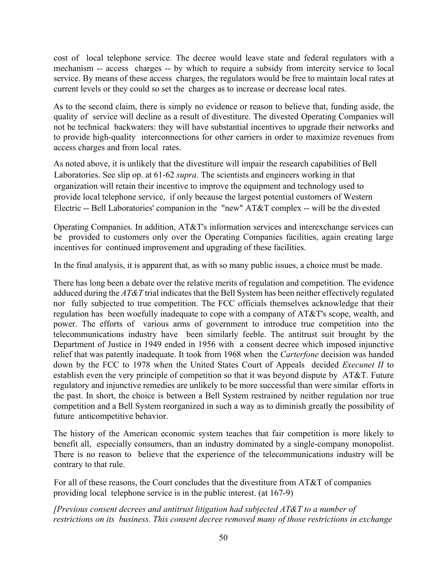cost of local telephone service. The decree would leave state and federal regulators with a mechanism -- access charges -- by which to require a subsidy from intercity service to local service. By means of these access charges, the regulators would be free to maintain local rates at current levels or they could so set the charges as to increase or decrease local rates.

As to the second claim, there is simply no evidence or reason to believe that, funding aside, the quality of service will decline as a result of divestiture. The divested Operating Companies will not be technical backwaters: they will have substantial incentives to upgrade their networks and to provide high-quality interconnections for other carriers in order to maximize revenues from access charges and from local rates.

As noted above, it is unlikely that the divestiture will impair the research capabilities of Bell Laboratories. See slip op. at 61-62 *supra*. The scientists and engineers working in that organization will retain their incentive to improve the equipment and technology used to provide local telephone service, if only because the largest potential customers of Western Electric -- Bell Laboratories' companion in the "new" AT&T complex -- will be the divested

Operating Companies. In addition, AT&T's information services and interexchange services can be provided to customers only over the Operating Companies facilities, again creating large incentives for continued improvement and upgrading of these facilities.

In the final analysis, it is apparent that, as with so many public issues, a choice must be made.

There has long been a debate over the relative merits of regulation and competition. The evidence adduced during the *AT&T* trial indicates that the Bell System has been neither effectively regulated nor fully subjected to true competition. The FCC officials themselves acknowledge that their regulation has been woefully inadequate to cope with a company of AT&T's scope, wealth, and power. The efforts of various arms of government to introduce true competition into the telecommunications industry have been similarly feeble. The antitrust suit brought by the Department of Justice in 1949 ended in 1956 with a consent decree which imposed injunctive relief that was patently inadequate. It took from 1968 when the *Carterfone* decision was handed down by the FCC to 1978 when the United States Court of Appeals decided *Execunet II* to establish even the very principle of competition so that it was beyond dispute by AT&T. Future regulatory and injunctive remedies are unlikely to be more successful than were similar efforts in the past. In short, the choice is between a Bell System restrained by neither regulation nor true competition and a Bell System reorganized in such a way as to diminish greatly the possibility of future anticompetitive behavior.

The history of the American economic system teaches that fair competition is more likely to benefit all, especially consumers, than an industry dominated by a single-company monopolist. There is no reason to believe that the experience of the telecommunications industry will be contrary to that rule.

For all of these reasons, the Court concludes that the divestiture from AT&T of companies providing local telephone service is in the public interest. (at 167-9)

*[Previous consent decrees and antitrust litigation had subjected AT&T to a number of restrictions on its business. This consent decree removed many of those restrictions in exchange*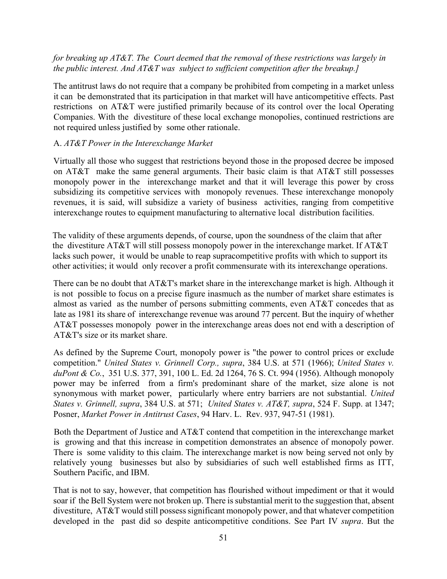## *for breaking up AT&T. The Court deemed that the removal of these restrictions was largely in the public interest. And AT&T was subject to sufficient competition after the breakup.]*

The antitrust laws do not require that a company be prohibited from competing in a market unless it can be demonstrated that its participation in that market will have anticompetitive effects. Past restrictions on AT&T were justified primarily because of its control over the local Operating Companies. With the divestiture of these local exchange monopolies, continued restrictions are not required unless justified by some other rationale.

# A. *AT&T Power in the Interexchange Market*

Virtually all those who suggest that restrictions beyond those in the proposed decree be imposed on AT&T make the same general arguments. Their basic claim is that AT&T still possesses monopoly power in the interexchange market and that it will leverage this power by cross subsidizing its competitive services with monopoly revenues. These interexchange monopoly revenues, it is said, will subsidize a variety of business activities, ranging from competitive interexchange routes to equipment manufacturing to alternative local distribution facilities.

The validity of these arguments depends, of course, upon the soundness of the claim that after the divestiture AT&T will still possess monopoly power in the interexchange market. If AT&T lacks such power, it would be unable to reap supracompetitive profits with which to support its other activities; it would only recover a profit commensurate with its interexchange operations.

There can be no doubt that AT&T's market share in the interexchange market is high. Although it is not possible to focus on a precise figure inasmuch as the number of market share estimates is almost as varied as the number of persons submitting comments, even AT&T concedes that as late as 1981 its share of interexchange revenue was around 77 percent. But the inquiry of whether AT&T possesses monopoly power in the interexchange areas does not end with a description of AT&T's size or its market share.

As defined by the Supreme Court, monopoly power is "the power to control prices or exclude competition." *United States v. Grinnell Corp., supra*, 384 U.S. at 571 (1966); *United States v. duPont & Co.*, 351 U.S. 377, 391, 100 L. Ed. 2d 1264, 76 S. Ct. 994 (1956). Although monopoly power may be inferred from a firm's predominant share of the market, size alone is not synonymous with market power, particularly where entry barriers are not substantial. *United States v. Grinnell, supra*, 384 U.S. at 571; *United States v. AT&T, supra*, 524 F. Supp. at 1347; Posner, *Market Power in Antitrust Cases*, 94 Harv. L. Rev. 937, 947-51 (1981).

Both the Department of Justice and AT&T contend that competition in the interexchange market is growing and that this increase in competition demonstrates an absence of monopoly power. There is some validity to this claim. The interexchange market is now being served not only by relatively young businesses but also by subsidiaries of such well established firms as ITT, Southern Pacific, and IBM.

That is not to say, however, that competition has flourished without impediment or that it would soar if the Bell System were not broken up. There is substantial merit to the suggestion that, absent divestiture, AT&T would still possess significant monopoly power, and that whatever competition developed in the past did so despite anticompetitive conditions. See Part IV *supra*. But the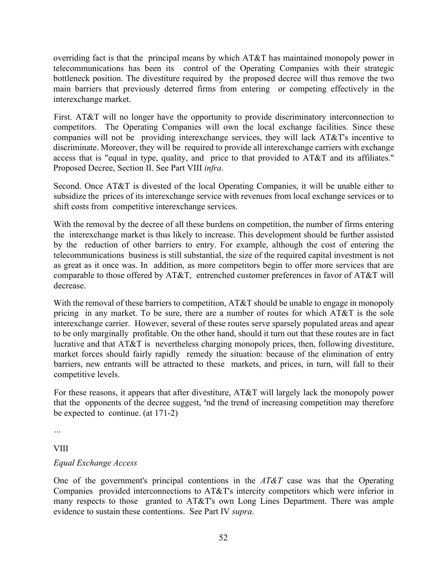overriding fact is that the principal means by which AT&T has maintained monopoly power in telecommunications has been its control of the Operating Companies with their strategic bottleneck position. The divestiture required by the proposed decree will thus remove the two main barriers that previously deterred firms from entering or competing effectively in the interexchange market.

First. AT&T will no longer have the opportunity to provide discriminatory interconnection to competitors. The Operating Companies will own the local exchange facilities. Since these companies will not be providing interexchange services, they will lack AT&T's incentive to discriminate. Moreover, they will be required to provide all interexchange carriers with exchange access that is "equal in type, quality, and price to that provided to AT&T and its affiliates." Proposed Decree, Section II. See Part VIII *infra*.

Second. Once AT&T is divested of the local Operating Companies, it will be unable either to subsidize the prices of its interexchange service with revenues from local exchange services or to shift costs from competitive interexchange services.

With the removal by the decree of all these burdens on competition, the number of firms entering the interexchange market is thus likely to increase. This development should be further assisted by the reduction of other barriers to entry. For example, although the cost of entering the telecommunications business is still substantial, the size of the required capital investment is not as great as it once was. In addition, as more competitors begin to offer more services that are comparable to those offered by AT&T, entrenched customer preferences in favor of AT&T will decrease.

With the removal of these barriers to competition,  $AT&T$  should be unable to engage in monopoly pricing in any market. To be sure, there are a number of routes for which AT&T is the sole interexchange carrier. However, several of these routes serve sparsely populated areas and apear to be only marginally profitable. On the other hand, should it turn out that these routes are in fact lucrative and that AT&T is nevertheless charging monopoly prices, then, following divestiture, market forces should fairly rapidly remedy the situation: because of the elimination of entry barriers, new entrants will be attracted to these markets, and prices, in turn, will fall to their competitive levels.

For these reasons, it appears that after divestiture, AT&T will largely lack the monopoly power that the opponents of the decree suggest, <sup>a</sup>nd the trend of increasing competition may therefore be expected to continue. (at 171-2)

*…* 

## VIII

## *Equal Exchange Access*

One of the government's principal contentions in the *AT&T* case was that the Operating Companies provided interconnections to AT&T's intercity competitors which were inferior in many respects to those granted to AT&T's own Long Lines Department. There was ample evidence to sustain these contentions. See Part IV *supra*.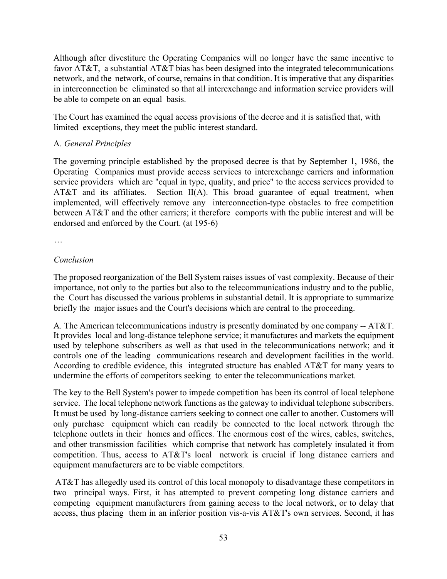Although after divestiture the Operating Companies will no longer have the same incentive to favor AT&T, a substantial AT&T bias has been designed into the integrated telecommunications network, and the network, of course, remains in that condition. It is imperative that any disparities in interconnection be eliminated so that all interexchange and information service providers will be able to compete on an equal basis.

The Court has examined the equal access provisions of the decree and it is satisfied that, with limited exceptions, they meet the public interest standard.

# A. *General Principles*

The governing principle established by the proposed decree is that by September 1, 1986, the Operating Companies must provide access services to interexchange carriers and information service providers which are "equal in type, quality, and price" to the access services provided to AT&T and its affiliates. Section II(A). This broad guarantee of equal treatment, when implemented, will effectively remove any interconnection-type obstacles to free competition between AT&T and the other carriers; it therefore comports with the public interest and will be endorsed and enforced by the Court. (at 195-6)

…

## *Conclusion*

The proposed reorganization of the Bell System raises issues of vast complexity. Because of their importance, not only to the parties but also to the telecommunications industry and to the public, the Court has discussed the various problems in substantial detail. It is appropriate to summarize briefly the major issues and the Court's decisions which are central to the proceeding.

A. The American telecommunications industry is presently dominated by one company -- AT&T. It provides local and long-distance telephone service; it manufactures and markets the equipment used by telephone subscribers as well as that used in the telecommunications network; and it controls one of the leading communications research and development facilities in the world. According to credible evidence, this integrated structure has enabled AT&T for many years to undermine the efforts of competitors seeking to enter the telecommunications market.

The key to the Bell System's power to impede competition has been its control of local telephone service. The local telephone network functions as the gateway to individual telephone subscribers. It must be used by long-distance carriers seeking to connect one caller to another. Customers will only purchase equipment which can readily be connected to the local network through the telephone outlets in their homes and offices. The enormous cost of the wires, cables, switches, and other transmission facilities which comprise that network has completely insulated it from competition. Thus, access to AT&T's local network is crucial if long distance carriers and equipment manufacturers are to be viable competitors.

AT&T has allegedly used its control of this local monopoly to disadvantage these competitors in two principal ways. First, it has attempted to prevent competing long distance carriers and competing equipment manufacturers from gaining access to the local network, or to delay that access, thus placing them in an inferior position vis-a-vis AT&T's own services. Second, it has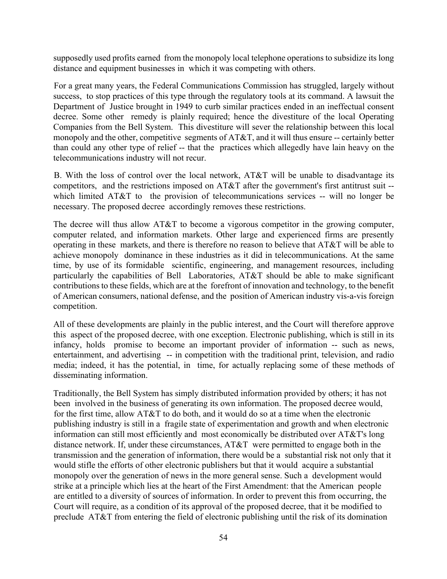supposedly used profits earned from the monopoly local telephone operations to subsidize its long distance and equipment businesses in which it was competing with others.

For a great many years, the Federal Communications Commission has struggled, largely without success, to stop practices of this type through the regulatory tools at its command. A lawsuit the Department of Justice brought in 1949 to curb similar practices ended in an ineffectual consent decree. Some other remedy is plainly required; hence the divestiture of the local Operating Companies from the Bell System. This divestiture will sever the relationship between this local monopoly and the other, competitive segments of AT&T, and it will thus ensure -- certainly better than could any other type of relief -- that the practices which allegedly have lain heavy on the telecommunications industry will not recur.

B. With the loss of control over the local network, AT&T will be unable to disadvantage its competitors, and the restrictions imposed on AT&T after the government's first antitrust suit - which limited AT&T to the provision of telecommunications services -- will no longer be necessary. The proposed decree accordingly removes these restrictions.

The decree will thus allow AT&T to become a vigorous competitor in the growing computer, computer related, and information markets. Other large and experienced firms are presently operating in these markets, and there is therefore no reason to believe that AT&T will be able to achieve monopoly dominance in these industries as it did in telecommunications. At the same time, by use of its formidable scientific, engineering, and management resources, including particularly the capabilities of Bell Laboratories, AT&T should be able to make significant contributions to these fields, which are at the forefront of innovation and technology, to the benefit of American consumers, national defense, and the position of American industry vis-a-vis foreign competition.

All of these developments are plainly in the public interest, and the Court will therefore approve this aspect of the proposed decree, with one exception. Electronic publishing, which is still in its infancy, holds promise to become an important provider of information -- such as news, entertainment, and advertising -- in competition with the traditional print, television, and radio media; indeed, it has the potential, in time, for actually replacing some of these methods of disseminating information.

Traditionally, the Bell System has simply distributed information provided by others; it has not been involved in the business of generating its own information. The proposed decree would, for the first time, allow AT&T to do both, and it would do so at a time when the electronic publishing industry is still in a fragile state of experimentation and growth and when electronic information can still most efficiently and most economically be distributed over AT&T's long distance network. If, under these circumstances, AT&T were permitted to engage both in the transmission and the generation of information, there would be a substantial risk not only that it would stifle the efforts of other electronic publishers but that it would acquire a substantial monopoly over the generation of news in the more general sense. Such a development would strike at a principle which lies at the heart of the First Amendment: that the American people are entitled to a diversity of sources of information. In order to prevent this from occurring, the Court will require, as a condition of its approval of the proposed decree, that it be modified to preclude AT&T from entering the field of electronic publishing until the risk of its domination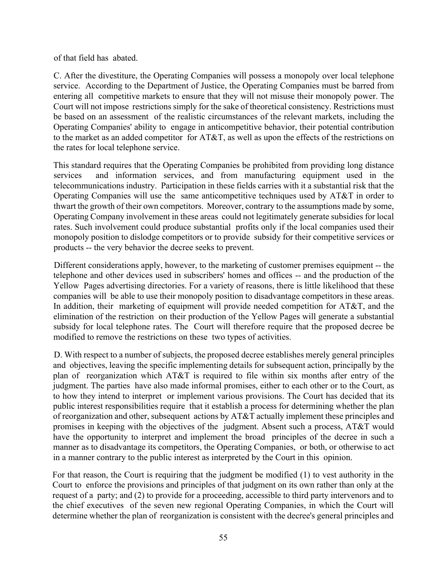of that field has abated.

C. After the divestiture, the Operating Companies will possess a monopoly over local telephone service. According to the Department of Justice, the Operating Companies must be barred from entering all competitive markets to ensure that they will not misuse their monopoly power. The Court will not impose restrictions simply for the sake of theoretical consistency. Restrictions must be based on an assessment of the realistic circumstances of the relevant markets, including the Operating Companies' ability to engage in anticompetitive behavior, their potential contribution to the market as an added competitor for AT&T, as well as upon the effects of the restrictions on the rates for local telephone service.

This standard requires that the Operating Companies be prohibited from providing long distance services and information services, and from manufacturing equipment used in the telecommunications industry. Participation in these fields carries with it a substantial risk that the Operating Companies will use the same anticompetitive techniques used by AT&T in order to thwart the growth of their own competitors. Moreover, contrary to the assumptions made by some, Operating Company involvement in these areas could not legitimately generate subsidies for local rates. Such involvement could produce substantial profits only if the local companies used their monopoly position to dislodge competitors or to provide subsidy for their competitive services or products -- the very behavior the decree seeks to prevent.

Different considerations apply, however, to the marketing of customer premises equipment -- the telephone and other devices used in subscribers' homes and offices -- and the production of the Yellow Pages advertising directories. For a variety of reasons, there is little likelihood that these companies will be able to use their monopoly position to disadvantage competitors in these areas. In addition, their marketing of equipment will provide needed competition for AT&T, and the elimination of the restriction on their production of the Yellow Pages will generate a substantial subsidy for local telephone rates. The Court will therefore require that the proposed decree be modified to remove the restrictions on these two types of activities.

D. With respect to a number of subjects, the proposed decree establishes merely general principles and objectives, leaving the specific implementing details for subsequent action, principally by the plan of reorganization which AT&T is required to file within six months after entry of the judgment. The parties have also made informal promises, either to each other or to the Court, as to how they intend to interpret or implement various provisions. The Court has decided that its public interest responsibilities require that it establish a process for determining whether the plan of reorganization and other, subsequent actions by AT&T actually implement these principles and promises in keeping with the objectives of the judgment. Absent such a process, AT&T would have the opportunity to interpret and implement the broad principles of the decree in such a manner as to disadvantage its competitors, the Operating Companies, or both, or otherwise to act in a manner contrary to the public interest as interpreted by the Court in this opinion.

For that reason, the Court is requiring that the judgment be modified (1) to vest authority in the Court to enforce the provisions and principles of that judgment on its own rather than only at the request of a party; and (2) to provide for a proceeding, accessible to third party intervenors and to the chief executives of the seven new regional Operating Companies, in which the Court will determine whether the plan of reorganization is consistent with the decree's general principles and